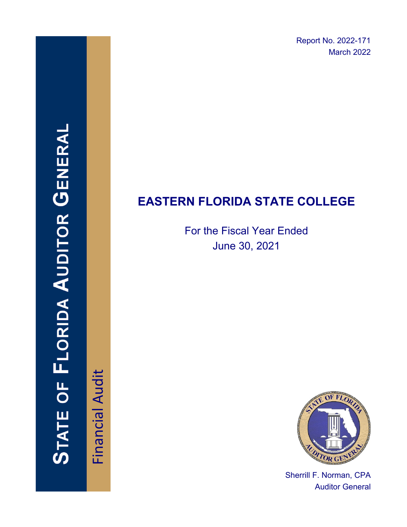Report No. 2022-171 March 2022

# STATE OF FLORIDA AUDITOR GENERAI

Financial Audit Financial Audit

# **EASTERN FLORIDA STATE COLLEGE**

For the Fiscal Year Ended June 30, 2021



Sherrill F. Norman, CPA Auditor General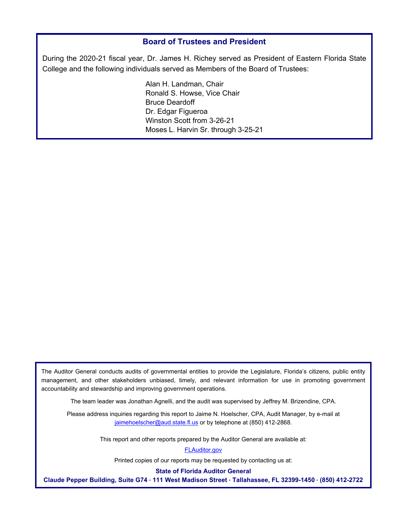### **Board of Trustees and President**

During the 2020-21 fiscal year, Dr. James H. Richey served as President of Eastern Florida State College and the following individuals served as Members of the Board of Trustees:

> Alan H. Landman, Chair Ronald S. Howse, Vice Chair Bruce Deardoff Dr. Edgar Figueroa Winston Scott from 3-26-21 Moses L. Harvin Sr. through 3-25-21

The Auditor General conducts audits of governmental entities to provide the Legislature, Florida's citizens, public entity management, and other stakeholders unbiased, timely, and relevant information for use in promoting government accountability and stewardship and improving government operations.

The team leader was Jonathan Agnelli, and the audit was supervised by Jeffrey M. Brizendine, CPA.

Please address inquiries regarding this report to Jaime N. Hoelscher, CPA, Audit Manager, by e-mail at jaimehoelscher@aud.state.fl.us or by telephone at (850) 412-2868.

This report and other reports prepared by the Auditor General are available at:

[FLAuditor.gov](http://flauditor.gov/) 

Printed copies of our reports may be requested by contacting us at:

**State of Florida Auditor General** 

**Claude Pepper Building, Suite G74 · 111 West Madison Street · Tallahassee, FL 32399-1450 · (850) 412-2722**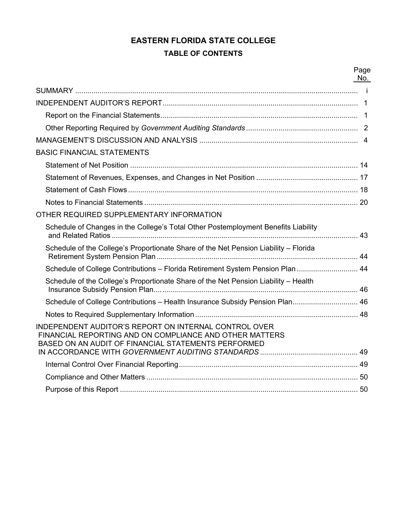# **EASTERN FLORIDA STATE COLLEGE TABLE OF CONTENTS**

Page

|                                                                                                                                                                         | No. |
|-------------------------------------------------------------------------------------------------------------------------------------------------------------------------|-----|
|                                                                                                                                                                         |     |
|                                                                                                                                                                         |     |
|                                                                                                                                                                         |     |
|                                                                                                                                                                         |     |
|                                                                                                                                                                         |     |
| <b>BASIC FINANCIAL STATEMENTS</b>                                                                                                                                       |     |
|                                                                                                                                                                         |     |
|                                                                                                                                                                         |     |
|                                                                                                                                                                         |     |
|                                                                                                                                                                         |     |
| OTHER REQUIRED SUPPLEMENTARY INFORMATION                                                                                                                                |     |
| Schedule of Changes in the College's Total Other Postemployment Benefits Liability                                                                                      |     |
| Schedule of the College's Proportionate Share of the Net Pension Liability - Florida                                                                                    |     |
| Schedule of College Contributions - Florida Retirement System Pension Plan  44                                                                                          |     |
| Schedule of the College's Proportionate Share of the Net Pension Liability - Health                                                                                     |     |
| Schedule of College Contributions - Health Insurance Subsidy Pension Plan 46                                                                                            |     |
|                                                                                                                                                                         |     |
| INDEPENDENT AUDITOR'S REPORT ON INTERNAL CONTROL OVER<br>FINANCIAL REPORTING AND ON COMPLIANCE AND OTHER MATTERS<br>BASED ON AN AUDIT OF FINANCIAL STATEMENTS PERFORMED |     |
|                                                                                                                                                                         |     |
|                                                                                                                                                                         |     |
|                                                                                                                                                                         |     |
|                                                                                                                                                                         |     |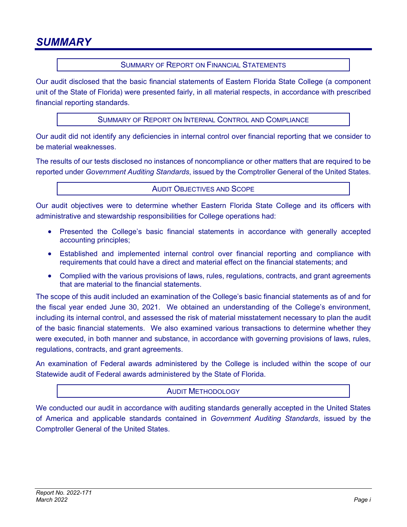### SUMMARY OF REPORT ON FINANCIAL STATEMENTS

<span id="page-3-0"></span>Our audit disclosed that the basic financial statements of Eastern Florida State College (a component unit of the State of Florida) were presented fairly, in all material respects, in accordance with prescribed financial reporting standards.

SUMMARY OF REPORT ON INTERNAL CONTROL AND COMPLIANCE

Our audit did not identify any deficiencies in internal control over financial reporting that we consider to be material weaknesses.

The results of our tests disclosed no instances of noncompliance or other matters that are required to be reported under *Government Auditing Standards*, issued by the Comptroller General of the United States.

### AUDIT OBJECTIVES AND SCOPE

Our audit objectives were to determine whether Eastern Florida State College and its officers with administrative and stewardship responsibilities for College operations had:

- Presented the College's basic financial statements in accordance with generally accepted accounting principles;
- Established and implemented internal control over financial reporting and compliance with requirements that could have a direct and material effect on the financial statements; and
- Complied with the various provisions of laws, rules, regulations, contracts, and grant agreements that are material to the financial statements.

The scope of this audit included an examination of the College's basic financial statements as of and for the fiscal year ended June 30, 2021. We obtained an understanding of the College's environment, including its internal control, and assessed the risk of material misstatement necessary to plan the audit of the basic financial statements. We also examined various transactions to determine whether they were executed, in both manner and substance, in accordance with governing provisions of laws, rules, regulations, contracts, and grant agreements.

An examination of Federal awards administered by the College is included within the scope of our Statewide audit of Federal awards administered by the State of Florida.

# AUDIT METHODOLOGY

We conducted our audit in accordance with auditing standards generally accepted in the United States of America and applicable standards contained in *Government Auditing Standards*, issued by the Comptroller General of the United States.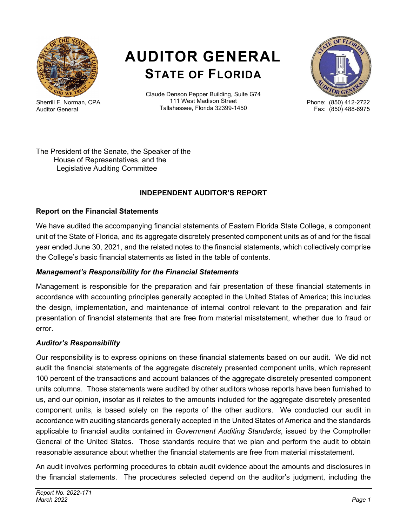<span id="page-4-0"></span>

Sherrill F. Norman, CPA Auditor General

# **AUDITOR GENERAL STATE OF FLORIDA**

Claude Denson Pepper Building, Suite G74 111 West Madison Street Tallahassee, Florida 32399-1450



Phone: (850) 412-2722 Fax: (850) 488-6975

The President of the Senate, the Speaker of the House of Representatives, and the Legislative Auditing Committee

# **INDEPENDENT AUDITOR'S REPORT**

# **Report on the Financial Statements**

We have audited the accompanying financial statements of Eastern Florida State College, a component unit of the State of Florida, and its aggregate discretely presented component units as of and for the fiscal year ended June 30, 2021, and the related notes to the financial statements, which collectively comprise the College's basic financial statements as listed in the table of contents.

# *Management's Responsibility for the Financial Statements*

Management is responsible for the preparation and fair presentation of these financial statements in accordance with accounting principles generally accepted in the United States of America; this includes the design, implementation, and maintenance of internal control relevant to the preparation and fair presentation of financial statements that are free from material misstatement, whether due to fraud or error.

# *Auditor's Responsibility*

Our responsibility is to express opinions on these financial statements based on our audit. We did not audit the financial statements of the aggregate discretely presented component units, which represent 100 percent of the transactions and account balances of the aggregate discretely presented component units columns. Those statements were audited by other auditors whose reports have been furnished to us, and our opinion, insofar as it relates to the amounts included for the aggregate discretely presented component units, is based solely on the reports of the other auditors. We conducted our audit in accordance with auditing standards generally accepted in the United States of America and the standards applicable to financial audits contained in *Government Auditing Standards*, issued by the Comptroller General of the United States. Those standards require that we plan and perform the audit to obtain reasonable assurance about whether the financial statements are free from material misstatement.

An audit involves performing procedures to obtain audit evidence about the amounts and disclosures in the financial statements. The procedures selected depend on the auditor's judgment, including the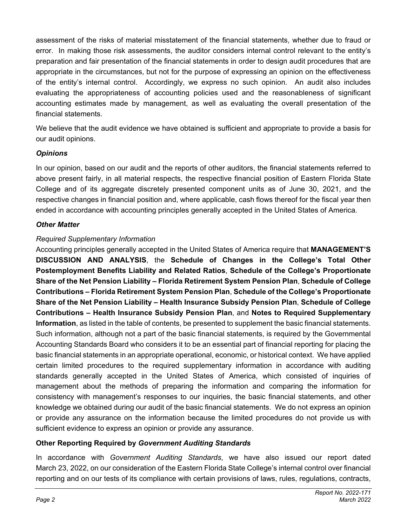<span id="page-5-0"></span>assessment of the risks of material misstatement of the financial statements, whether due to fraud or error. In making those risk assessments, the auditor considers internal control relevant to the entity's preparation and fair presentation of the financial statements in order to design audit procedures that are appropriate in the circumstances, but not for the purpose of expressing an opinion on the effectiveness of the entity's internal control. Accordingly, we express no such opinion. An audit also includes evaluating the appropriateness of accounting policies used and the reasonableness of significant accounting estimates made by management, as well as evaluating the overall presentation of the financial statements.

We believe that the audit evidence we have obtained is sufficient and appropriate to provide a basis for our audit opinions.

# *Opinions*

In our opinion, based on our audit and the reports of other auditors, the financial statements referred to above present fairly, in all material respects, the respective financial position of Eastern Florida State College and of its aggregate discretely presented component units as of June 30, 2021, and the respective changes in financial position and, where applicable, cash flows thereof for the fiscal year then ended in accordance with accounting principles generally accepted in the United States of America.

# *Other Matter*

# *Required Supplementary Information*

Accounting principles generally accepted in the United States of America require that **MANAGEMENT'S DISCUSSION AND ANALYSIS**, the **Schedule of Changes in the College's Total Other Postemployment Benefits Liability and Related Ratios**, **Schedule of the College's Proportionate Share of the Net Pension Liability – Florida Retirement System Pension Plan**, **Schedule of College Contributions – Florida Retirement System Pension Plan**, **Schedule of the College's Proportionate Share of the Net Pension Liability – Health Insurance Subsidy Pension Plan**, **Schedule of College Contributions – Health Insurance Subsidy Pension Plan**, and **Notes to Required Supplementary Information**, as listed in the table of contents, be presented to supplement the basic financial statements. Such information, although not a part of the basic financial statements, is required by the Governmental Accounting Standards Board who considers it to be an essential part of financial reporting for placing the basic financial statements in an appropriate operational, economic, or historical context. We have applied certain limited procedures to the required supplementary information in accordance with auditing standards generally accepted in the United States of America, which consisted of inquiries of management about the methods of preparing the information and comparing the information for consistency with management's responses to our inquiries, the basic financial statements, and other knowledge we obtained during our audit of the basic financial statements. We do not express an opinion or provide any assurance on the information because the limited procedures do not provide us with sufficient evidence to express an opinion or provide any assurance.

# **Other Reporting Required by** *Government Auditing Standards*

In accordance with *Government Auditing Standards*, we have also issued our report dated March 23, 2022, on our consideration of the Eastern Florida State College's internal control over financial reporting and on our tests of its compliance with certain provisions of laws, rules, regulations, contracts,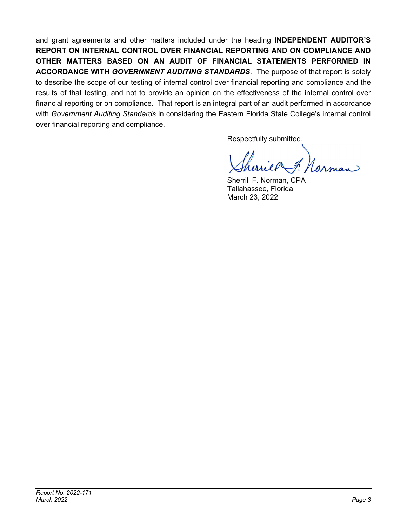and grant agreements and other matters included under the heading **INDEPENDENT AUDITOR'S REPORT ON INTERNAL CONTROL OVER FINANCIAL REPORTING AND ON COMPLIANCE AND OTHER MATTERS BASED ON AN AUDIT OF FINANCIAL STATEMENTS PERFORMED IN ACCORDANCE WITH** *GOVERNMENT AUDITING STANDARDS*. The purpose of that report is solely to describe the scope of our testing of internal control over financial reporting and compliance and the results of that testing, and not to provide an opinion on the effectiveness of the internal control over financial reporting or on compliance. That report is an integral part of an audit performed in accordance with *Government Auditing Standards* in considering the Eastern Florida State College's internal control over financial reporting and compliance.

Respectfully submitted,

Sherrill F. Norman, CPA Tallahassee, Florida March 23, 2022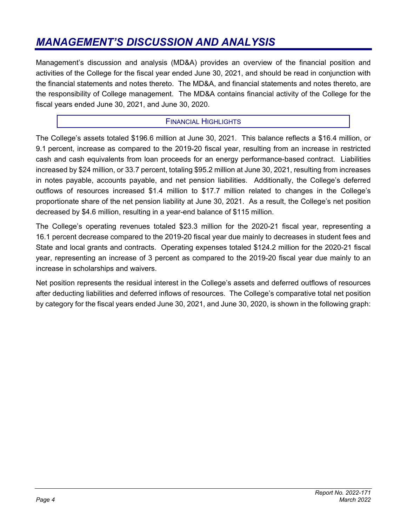# <span id="page-7-0"></span>*MANAGEMENT'S DISCUSSION AND ANALYSIS*

Management's discussion and analysis (MD&A) provides an overview of the financial position and activities of the College for the fiscal year ended June 30, 2021, and should be read in conjunction with the financial statements and notes thereto. The MD&A, and financial statements and notes thereto, are the responsibility of College management. The MD&A contains financial activity of the College for the fiscal years ended June 30, 2021, and June 30, 2020.

# FINANCIAL HIGHLIGHTS

The College's assets totaled \$196.6 million at June 30, 2021. This balance reflects a \$16.4 million, or 9.1 percent, increase as compared to the 2019-20 fiscal year, resulting from an increase in restricted cash and cash equivalents from loan proceeds for an energy performance-based contract. Liabilities increased by \$24 million, or 33.7 percent, totaling \$95.2 million at June 30, 2021, resulting from increases in notes payable, accounts payable, and net pension liabilities. Additionally, the College's deferred outflows of resources increased \$1.4 million to \$17.7 million related to changes in the College's proportionate share of the net pension liability at June 30, 2021. As a result, the College's net position decreased by \$4.6 million, resulting in a year-end balance of \$115 million.

The College's operating revenues totaled \$23.3 million for the 2020-21 fiscal year, representing a 16.1 percent decrease compared to the 2019-20 fiscal year due mainly to decreases in student fees and State and local grants and contracts. Operating expenses totaled \$124.2 million for the 2020-21 fiscal year, representing an increase of 3 percent as compared to the 2019-20 fiscal year due mainly to an increase in scholarships and waivers.

Net position represents the residual interest in the College's assets and deferred outflows of resources after deducting liabilities and deferred inflows of resources. The College's comparative total net position by category for the fiscal years ended June 30, 2021, and June 30, 2020, is shown in the following graph: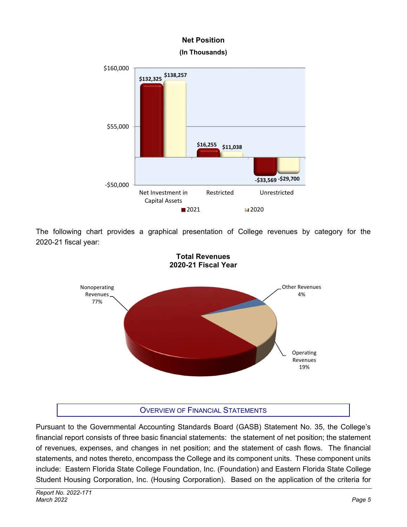**Net Position (In Thousands)** 



The following chart provides a graphical presentation of College revenues by category for the 2020-21 fiscal year:



# OVERVIEW OF FINANCIAL STATEMENTS

Pursuant to the Governmental Accounting Standards Board (GASB) Statement No. 35, the College's financial report consists of three basic financial statements: the statement of net position; the statement of revenues, expenses, and changes in net position; and the statement of cash flows. The financial statements, and notes thereto, encompass the College and its component units. These component units include: Eastern Florida State College Foundation, Inc. (Foundation) and Eastern Florida State College Student Housing Corporation, Inc. (Housing Corporation). Based on the application of the criteria for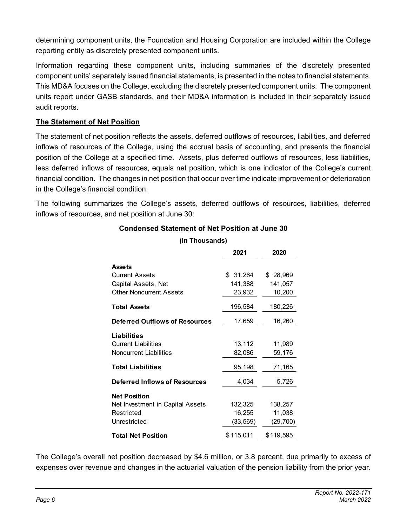determining component units, the Foundation and Housing Corporation are included within the College reporting entity as discretely presented component units.

Information regarding these component units, including summaries of the discretely presented component units' separately issued financial statements, is presented in the notes to financial statements. This MD&A focuses on the College, excluding the discretely presented component units. The component units report under GASB standards, and their MD&A information is included in their separately issued audit reports.

# **The Statement of Net Position**

The statement of net position reflects the assets, deferred outflows of resources, liabilities, and deferred inflows of resources of the College, using the accrual basis of accounting, and presents the financial position of the College at a specified time. Assets, plus deferred outflows of resources, less liabilities, less deferred inflows of resources, equals net position, which is one indicator of the College's current financial condition. The changes in net position that occur over time indicate improvement or deterioration in the College's financial condition.

The following summarizes the College's assets, deferred outflows of resources, liabilities, deferred inflows of resources, and net position at June 30:

|                                                         | 2021      | 2020      |
|---------------------------------------------------------|-----------|-----------|
| <b>Assets</b>                                           |           |           |
| <b>Current Assets</b>                                   | \$31,264  | \$ 28,969 |
| Capital Assets, Net                                     | 141,388   | 141,057   |
| <b>Other Noncurrent Assets</b>                          | 23,932    | 10,200    |
| <b>Total Assets</b>                                     | 196,584   | 180,226   |
| <b>Deferred Outflows of Resources</b>                   | 17,659    | 16,260    |
| Liabilities                                             |           |           |
| <b>Current Liabilities</b>                              | 13,112    | 11,989    |
| <b>Noncurrent Liabilities</b>                           | 82,086    | 59,176    |
| <b>Total Liabilities</b>                                | 95,198    | 71,165    |
| <b>Deferred Inflows of Resources</b>                    | 4,034     | 5,726     |
|                                                         |           |           |
| <b>Net Position</b><br>Net Investment in Capital Assets | 132,325   | 138,257   |
| Restricted                                              | 16,255    | 11,038    |
| Unrestricted                                            | (33, 569) | (29, 700) |
|                                                         |           |           |
| <b>Total Net Position</b>                               | \$115,011 | \$119,595 |

# **Condensed Statement of Net Position at June 30**

**(In Thousands)** 

The College's overall net position decreased by \$4.6 million, or 3.8 percent, due primarily to excess of expenses over revenue and changes in the actuarial valuation of the pension liability from the prior year.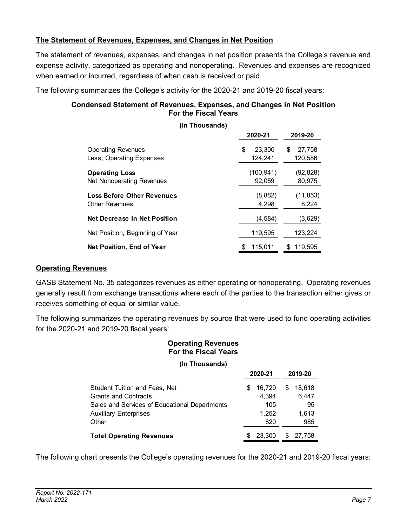# **The Statement of Revenues, Expenses, and Changes in Net Position**

The statement of revenues, expenses, and changes in net position presents the College's revenue and expense activity, categorized as operating and nonoperating. Revenues and expenses are recognized when earned or incurred, regardless of when cash is received or paid.

The following summarizes the College's activity for the 2020-21 and 2019-20 fiscal years:

# **Condensed Statement of Revenues, Expenses, and Changes in Net Position For the Fiscal Years**

| (In Thousands)                                             |                         |                         |
|------------------------------------------------------------|-------------------------|-------------------------|
|                                                            | 2020-21                 | 2019-20                 |
| <b>Operating Revenues</b><br>Less, Operating Expenses      | \$<br>23,300<br>124,241 | 27,758<br>\$<br>120.586 |
| <b>Operating Loss</b><br>Net Nonoperating Revenues         | (100, 941)<br>92,059    | (92, 828)<br>80,975     |
| <b>Loss Before Other Revenues</b><br><b>Other Revenues</b> | (8,882)<br>4,298        | (11, 853)<br>8,224      |
| <b>Net Decrease In Net Position</b>                        | (4, 584)                | (3,629)                 |
| Net Position, Beginning of Year                            | 119,595                 | 123,224                 |
| <b>Net Position, End of Year</b>                           | 115,011                 | 119,595<br>S.           |

### **Operating Revenues**

GASB Statement No. 35 categorizes revenues as either operating or nonoperating. Operating revenues generally result from exchange transactions where each of the parties to the transaction either gives or receives something of equal or similar value.

The following summarizes the operating revenues by source that were used to fund operating activities for the 2020-21 and 2019-20 fiscal years:

# **Operating Revenues For the Fiscal Years**

### **(In Thousands)**

|                                                       |    | 2020-21         |    | 2019-20         |
|-------------------------------------------------------|----|-----------------|----|-----------------|
| Student Tuition and Fees, Net<br>Grants and Contracts | S  | 16,729<br>4,394 | \$ | 18,618<br>6,447 |
| Sales and Services of Educational Departments         |    | 105             |    | 95              |
| <b>Auxiliary Enterprises</b><br>Other                 |    | 1.252<br>820    |    | 1.613<br>985    |
| <b>Total Operating Revenues</b>                       | S. | 23,300          | S  | 27,758          |

The following chart presents the College's operating revenues for the 2020-21 and 2019-20 fiscal years: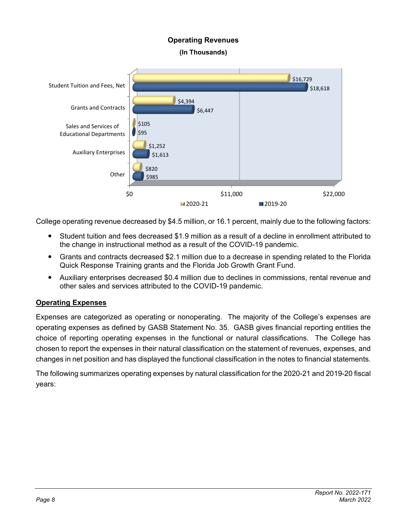# **Operating Revenues**

**(In Thousands)** 



College operating revenue decreased by \$4.5 million, or 16.1 percent, mainly due to the following factors:

- Student tuition and fees decreased \$1.9 million as a result of a decline in enrollment attributed to the change in instructional method as a result of the COVID-19 pandemic.
- Grants and contracts decreased \$2.1 million due to a decrease in spending related to the Florida Quick Response Training grants and the Florida Job Growth Grant Fund.
- Auxiliary enterprises decreased \$0.4 million due to declines in commissions, rental revenue and other sales and services attributed to the COVID-19 pandemic.

# **Operating Expenses**

Expenses are categorized as operating or nonoperating. The majority of the College's expenses are operating expenses as defined by GASB Statement No. 35. GASB gives financial reporting entities the choice of reporting operating expenses in the functional or natural classifications. The College has chosen to report the expenses in their natural classification on the statement of revenues, expenses, and changes in net position and has displayed the functional classification in the notes to financial statements.

The following summarizes operating expenses by natural classification for the 2020-21 and 2019-20 fiscal years: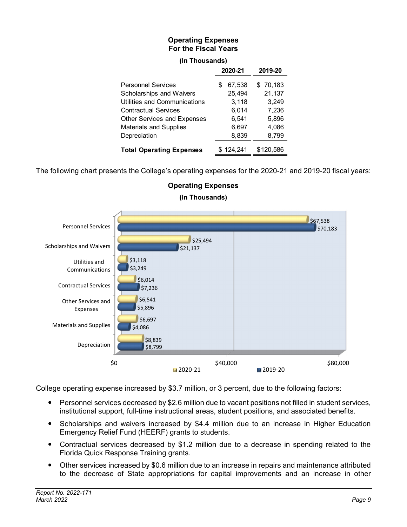# **Operating Expenses For the Fiscal Years**

### **(In Thousands)**

|                                                                                                                                                                                                             | 2020-21                                                            | 2019-20                                                         |
|-------------------------------------------------------------------------------------------------------------------------------------------------------------------------------------------------------------|--------------------------------------------------------------------|-----------------------------------------------------------------|
| <b>Personnel Services</b><br>Scholarships and Waivers<br>Utilities and Communications<br><b>Contractual Services</b><br><b>Other Services and Expenses</b><br><b>Materials and Supplies</b><br>Depreciation | 67,538<br>S<br>25,494<br>3,118<br>6,014<br>6,541<br>6,697<br>8,839 | \$70,183<br>21,137<br>3,249<br>7,236<br>5,896<br>4,086<br>8,799 |
| <b>Total Operating Expenses</b>                                                                                                                                                                             | \$124,241                                                          | \$120,586                                                       |

The following chart presents the College's operating expenses for the 2020-21 and 2019-20 fiscal years:



# **Operating Expenses (In Thousands)**

College operating expense increased by \$3.7 million, or 3 percent, due to the following factors:

- Personnel services decreased by \$2.6 million due to vacant positions not filled in student services, institutional support, full-time instructional areas, student positions, and associated benefits.
- Scholarships and waivers increased by \$4.4 million due to an increase in Higher Education Emergency Relief Fund (HEERF) grants to students.
- Contractual services decreased by \$1.2 million due to a decrease in spending related to the Florida Quick Response Training grants.
- Other services increased by \$0.6 million due to an increase in repairs and maintenance attributed to the decrease of State appropriations for capital improvements and an increase in other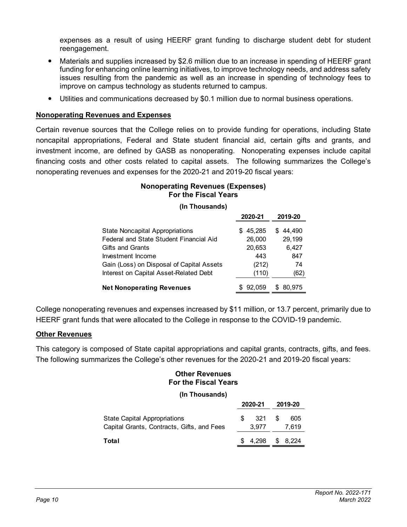expenses as a result of using HEERF grant funding to discharge student debt for student reengagement.

- Materials and supplies increased by \$2.6 million due to an increase in spending of HEERF grant funding for enhancing online learning initiatives, to improve technology needs, and address safety issues resulting from the pandemic as well as an increase in spending of technology fees to improve on campus technology as students returned to campus.
- Utilities and communications decreased by \$0.1 million due to normal business operations.

### **Nonoperating Revenues and Expenses**

Certain revenue sources that the College relies on to provide funding for operations, including State noncapital appropriations, Federal and State student financial aid, certain gifts and grants, and investment income, are defined by GASB as nonoperating. Nonoperating expenses include capital financing costs and other costs related to capital assets. The following summarizes the College's nonoperating revenues and expenses for the 2020-21 and 2019-20 fiscal years:

### **Nonoperating Revenues (Expenses) For the Fiscal Years**

# **(In Thousands)**

|                                           | 2020-21       | 2019-20      |
|-------------------------------------------|---------------|--------------|
| <b>State Noncapital Appropriations</b>    | 45,285<br>SS. | \$44.490     |
| Federal and State Student Financial Aid   | 26,000        | 29,199       |
| Gifts and Grants                          | 20,653        | 6,427        |
| Investment Income                         | 443           | 847          |
| Gain (Loss) on Disposal of Capital Assets | (212)         | 74           |
| Interest on Capital Asset-Related Debt    | (110)         | (62)         |
| <b>Net Nonoperating Revenues</b>          | \$92,059      | 80,975<br>\$ |

College nonoperating revenues and expenses increased by \$11 million, or 13.7 percent, primarily due to HEERF grant funds that were allocated to the College in response to the COVID-19 pandemic.

### **Other Revenues**

This category is composed of State capital appropriations and capital grants, contracts, gifts, and fees. The following summarizes the College's other revenues for the 2020-21 and 2019-20 fiscal years:

# **Other Revenues For the Fiscal Years**

### **(In Thousands)**

|                                                                                   | 2020-21             |     | 2019-20      |
|-----------------------------------------------------------------------------------|---------------------|-----|--------------|
| <b>State Capital Appropriations</b><br>Capital Grants, Contracts, Gifts, and Fees | \$<br>-321<br>3.977 | \$. | 605<br>7.619 |
| Total                                                                             | \$ 4.298            |     | \$8,224      |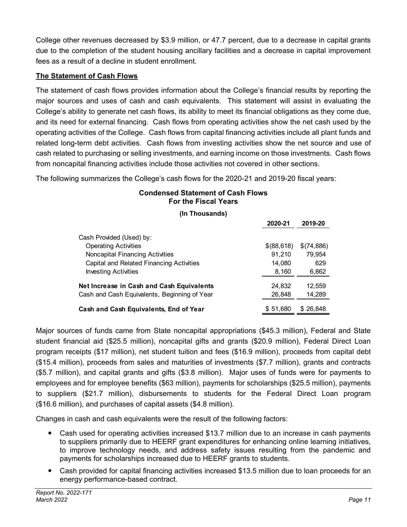College other revenues decreased by \$3.9 million, or 47.7 percent, due to a decrease in capital grants due to the completion of the student housing ancillary facilities and a decrease in capital improvement fees as a result of a decline in student enrollment.

# **The Statement of Cash Flows**

The statement of cash flows provides information about the College's financial results by reporting the major sources and uses of cash and cash equivalents. This statement will assist in evaluating the College's ability to generate net cash flows, its ability to meet its financial obligations as they come due, and its need for external financing. Cash flows from operating activities show the net cash used by the operating activities of the College. Cash flows from capital financing activities include all plant funds and related long-term debt activities. Cash flows from investing activities show the net source and use of cash related to purchasing or selling investments, and earning income on those investments. Cash flows from noncapital financing activities include those activities not covered in other sections.

The following summarizes the College's cash flows for the 2020-21 and 2019-20 fiscal years:

| (In Thousands)                               |            |            |
|----------------------------------------------|------------|------------|
|                                              | 2020-21    | 2019-20    |
| Cash Provided (Used) by:                     |            |            |
| <b>Operating Activities</b>                  | \$(88,618) | \$(74,886) |
| <b>Noncapital Financing Activities</b>       | 91,210     | 79,954     |
| Capital and Related Financing Activities     | 14,080     | 629        |
| <b>Investing Activities</b>                  | 8,160      | 6,862      |
| Net Increase in Cash and Cash Equivalents    | 24,832     | 12,559     |
| Cash and Cash Equivalents, Beginning of Year | 26,848     | 14,289     |
| Cash and Cash Equivalents, End of Year       | \$51,680   | \$26,848   |

### **Condensed Statement of Cash Flows For the Fiscal Years**

Major sources of funds came from State noncapital appropriations (\$45.3 million), Federal and State student financial aid (\$25.5 million), noncapital gifts and grants (\$20.9 million), Federal Direct Loan program receipts (\$17 million), net student tuition and fees (\$16.9 million), proceeds from capital debt (\$15.4 million), proceeds from sales and maturities of investments (\$7.7 million), grants and contracts (\$5.7 million), and capital grants and gifts (\$3.8 million). Major uses of funds were for payments to employees and for employee benefits (\$63 million), payments for scholarships (\$25.5 million), payments to suppliers (\$21.7 million), disbursements to students for the Federal Direct Loan program (\$16.6 million), and purchases of capital assets (\$4.8 million).

Changes in cash and cash equivalents were the result of the following factors:

- Cash used for operating activities increased \$13.7 million due to an increase in cash payments to suppliers primarily due to HEERF grant expenditures for enhancing online learning initiatives, to improve technology needs, and address safety issues resulting from the pandemic and payments for scholarships increased due to HEERF grants to students.
- Cash provided for capital financing activities increased \$13.5 million due to loan proceeds for an energy performance-based contract.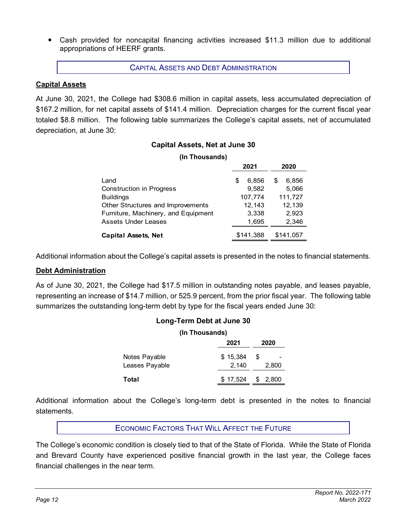Cash provided for noncapital financing activities increased \$11.3 million due to additional appropriations of HEERF grants.

### CAPITAL ASSETS AND DEBT ADMINISTRATION

### **Capital Assets**

At June 30, 2021, the College had \$308.6 million in capital assets, less accumulated depreciation of \$167.2 million, for net capital assets of \$141.4 million. Depreciation charges for the current fiscal year totaled \$8.8 million. The following table summarizes the College's capital assets, net of accumulated depreciation, at June 30:

### **Capital Assets, Net at June 30**

| (In Thousands)                      |      |           |      |           |
|-------------------------------------|------|-----------|------|-----------|
|                                     | 2021 |           | 2020 |           |
| Land                                | \$   | 6,856     | S    | 6,856     |
| <b>Construction in Progress</b>     |      | 9,582     |      | 5,066     |
| <b>Buildings</b>                    |      | 107,774   |      | 111,727   |
| Other Structures and Improvements   |      | 12,143    |      | 12,139    |
| Furniture, Machinery, and Equipment |      | 3,338     |      | 2,923     |
| <b>Assets Under Leases</b>          |      | 1,695     |      | 2,346     |
| <b>Capital Assets, Net</b>          |      | \$141,388 |      | \$141,057 |

Additional information about the College's capital assets is presented in the notes to financial statements.

### **Debt Administration**

As of June 30, 2021, the College had \$17.5 million in outstanding notes payable, and leases payable, representing an increase of \$14.7 million, or 525.9 percent, from the prior fiscal year. The following table summarizes the outstanding long-term debt by type for the fiscal years ended June 30:

### **Long-Term Debt at June 30**

| (In Thousands)                  |                   |            |  |
|---------------------------------|-------------------|------------|--|
|                                 | 2021              | 2020       |  |
| Notes Payable<br>Leases Payable | \$15,384<br>2,140 | S<br>2,800 |  |
| Total                           | \$17,524          | \$2,800    |  |

Additional information about the College's long-term debt is presented in the notes to financial statements.

### ECONOMIC FACTORS THAT WILL AFFECT THE FUTURE

The College's economic condition is closely tied to that of the State of Florida. While the State of Florida and Brevard County have experienced positive financial growth in the last year, the College faces financial challenges in the near term.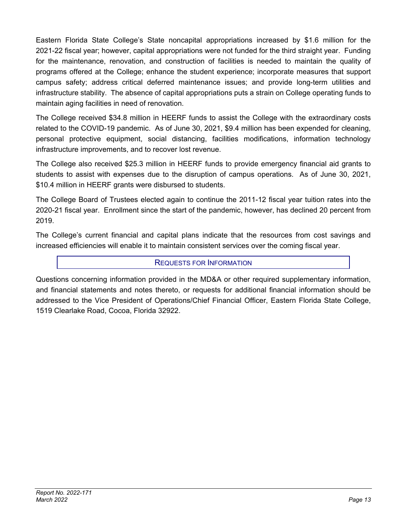Eastern Florida State College's State noncapital appropriations increased by \$1.6 million for the 2021-22 fiscal year; however, capital appropriations were not funded for the third straight year. Funding for the maintenance, renovation, and construction of facilities is needed to maintain the quality of programs offered at the College; enhance the student experience; incorporate measures that support campus safety; address critical deferred maintenance issues; and provide long-term utilities and infrastructure stability. The absence of capital appropriations puts a strain on College operating funds to maintain aging facilities in need of renovation.

The College received \$34.8 million in HEERF funds to assist the College with the extraordinary costs related to the COVID-19 pandemic. As of June 30, 2021, \$9.4 million has been expended for cleaning, personal protective equipment, social distancing, facilities modifications, information technology infrastructure improvements, and to recover lost revenue.

The College also received \$25.3 million in HEERF funds to provide emergency financial aid grants to students to assist with expenses due to the disruption of campus operations. As of June 30, 2021, \$10.4 million in HEERF grants were disbursed to students.

The College Board of Trustees elected again to continue the 2011-12 fiscal year tuition rates into the 2020-21 fiscal year. Enrollment since the start of the pandemic, however, has declined 20 percent from 2019.

The College's current financial and capital plans indicate that the resources from cost savings and increased efficiencies will enable it to maintain consistent services over the coming fiscal year.

REQUESTS FOR INFORMATION

Questions concerning information provided in the MD&A or other required supplementary information, and financial statements and notes thereto, or requests for additional financial information should be addressed to the Vice President of Operations/Chief Financial Officer, Eastern Florida State College, 1519 Clearlake Road, Cocoa, Florida 32922.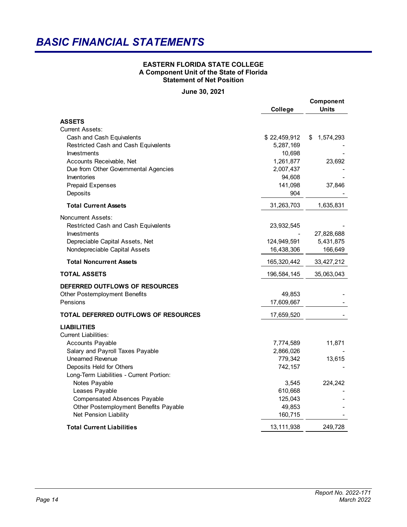# <span id="page-17-0"></span>*BASIC FINANCIAL STATEMENTS*

### **EASTERN FLORIDA STATE COLLEGE A Component Unit of the State of Florida Statement of Net Position**

**June 30, 2021** 

|                                          | College      | Component<br><b>Units</b> |
|------------------------------------------|--------------|---------------------------|
| <b>ASSETS</b>                            |              |                           |
| <b>Current Assets:</b>                   |              |                           |
| Cash and Cash Equivalents                | \$22,459,912 | 1,574,293<br>\$           |
| Restricted Cash and Cash Equivalents     | 5,287,169    |                           |
| Investments                              | 10,698       |                           |
| Accounts Receivable, Net                 | 1,261,877    | 23,692                    |
| Due from Other Governmental Agencies     | 2,007,437    |                           |
| Inventories                              | 94,608       |                           |
| <b>Prepaid Expenses</b>                  | 141,098      | 37,846                    |
| Deposits                                 | 904          |                           |
| <b>Total Current Assets</b>              | 31,263,703   | 1,635,831                 |
| <b>Noncurrent Assets:</b>                |              |                           |
| Restricted Cash and Cash Equivalents     | 23,932,545   |                           |
| Investments                              |              | 27,828,688                |
| Depreciable Capital Assets, Net          | 124,949,591  | 5,431,875                 |
| Nondepreciable Capital Assets            | 16,438,306   | 166,649                   |
| <b>Total Noncurrent Assets</b>           | 165,320,442  | 33,427,212                |
| <b>TOTAL ASSETS</b>                      | 196,584,145  | 35,063,043                |
| DEFERRED OUTFLOWS OF RESOURCES           |              |                           |
| <b>Other Postemployment Benefits</b>     | 49,853       |                           |
| Pensions                                 | 17,609,667   |                           |
| TOTAL DEFERRED OUTFLOWS OF RESOURCES     | 17,659,520   |                           |
| <b>LIABILITIES</b>                       |              |                           |
| <b>Current Liabilities:</b>              |              |                           |
| <b>Accounts Payable</b>                  | 7,774,589    | 11,871                    |
| Salary and Payroll Taxes Payable         | 2,866,026    |                           |
| <b>Unearned Revenue</b>                  | 779,342      | 13,615                    |
| Deposits Held for Others                 | 742,157      |                           |
| Long-Term Liabilities - Current Portion: |              |                           |
| Notes Payable                            | 3,545        | 224,242                   |
| Leases Payable                           | 610,668      |                           |
| <b>Compensated Absences Payable</b>      | 125,043      |                           |
| Other Postemployment Benefits Payable    | 49,853       |                           |
| Net Pension Liability                    | 160,715      |                           |
| <b>Total Current Liabilities</b>         | 13,111,938   | 249,728                   |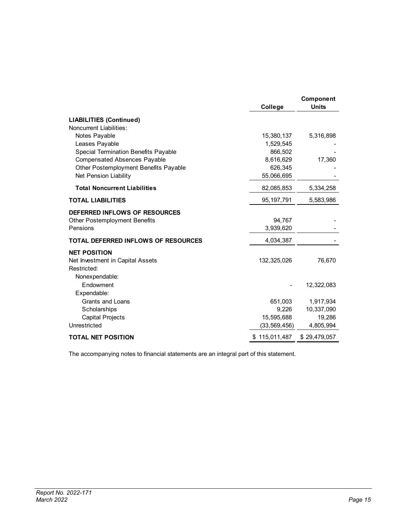|                                                           | College                 | Component<br><b>Units</b> |
|-----------------------------------------------------------|-------------------------|---------------------------|
| <b>LIABILITIES (Continued)</b><br>Noncurrent Liabilities: |                         |                           |
|                                                           |                         |                           |
| Notes Payable<br>Leases Payable                           | 15,380,137<br>1,529,545 | 5,316,898                 |
| Special Termination Benefits Payable                      | 866,502                 |                           |
| <b>Compensated Absences Payable</b>                       | 8,616,629               | 17,360                    |
| Other Postemployment Benefits Payable                     | 626,345                 |                           |
| Net Pension Liability                                     | 55,066,695              |                           |
| <b>Total Noncurrent Liabilities</b>                       | 82,085,853              | 5,334,258                 |
| <b>TOTAL LIABILITIES</b>                                  | 95, 197, 791            | 5,583,986                 |
| DEFERRED INFLOWS OF RESOURCES                             |                         |                           |
| <b>Other Postemployment Benefits</b>                      | 94.767                  |                           |
| Pensions                                                  | 3,939,620               |                           |
| TOTAL DEFERRED INFLOWS OF RESOURCES                       | 4,034,387               |                           |
| <b>NET POSITION</b>                                       |                         |                           |
| Net Investment in Capital Assets                          | 132,325,026             | 76.670                    |
| Restricted:                                               |                         |                           |
| Nonexpendable:                                            |                         |                           |
| Endowment                                                 |                         | 12,322,083                |
| Expendable:                                               |                         |                           |
| Grants and Loans                                          | 651,003                 | 1,917,934                 |
| Scholarships                                              | 9,226                   | 10,337,090                |
| <b>Capital Projects</b>                                   | 15,595,688              | 19,286                    |
| Unrestricted                                              | (33,569,456)            | 4,805,994                 |
| <b>TOTAL NET POSITION</b>                                 | \$115,011,487           | \$29,479,057              |

The accompanying notes to financial statements are an integral part of this statement.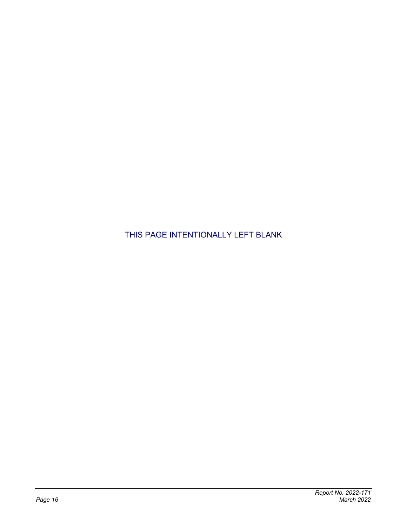THIS PAGE INTENTIONALLY LEFT BLANK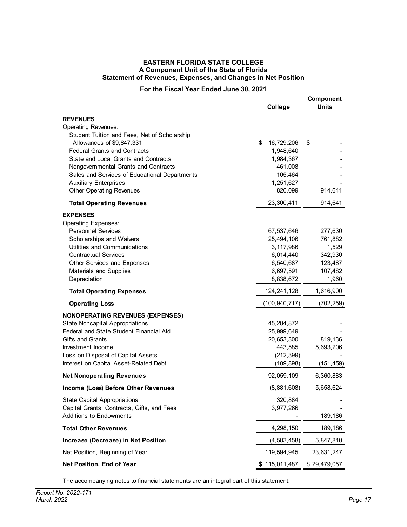### **EASTERN FLORIDA STATE COLLEGE A Component Unit of the State of Florida Statement of Revenues, Expenses, and Changes in Net Position**

### **For the Fiscal Year Ended June 30, 2021**

<span id="page-20-0"></span>

|                                               |                  | Component    |
|-----------------------------------------------|------------------|--------------|
|                                               | College          | Units        |
| <b>REVENUES</b>                               |                  |              |
| <b>Operating Revenues:</b>                    |                  |              |
| Student Tuition and Fees, Net of Scholarship  |                  |              |
| Allowances of \$9,847,331                     | \$<br>16,729,206 | \$           |
| <b>Federal Grants and Contracts</b>           | 1,948,640        |              |
| State and Local Grants and Contracts          | 1,984,367        |              |
| Nongovernmental Grants and Contracts          | 461,008          |              |
| Sales and Services of Educational Departments | 105,464          |              |
| <b>Auxiliary Enterprises</b>                  | 1,251,627        |              |
| <b>Other Operating Revenues</b>               | 820,099          | 914,641      |
| <b>Total Operating Revenues</b>               | 23,300,411       | 914,641      |
| <b>EXPENSES</b>                               |                  |              |
| <b>Operating Expenses:</b>                    |                  |              |
| <b>Personnel Services</b>                     | 67,537,646       | 277,630      |
| Scholarships and Waivers                      | 25,494,106       | 761,882      |
| Utilities and Communications                  | 3,117,986        | 1,529        |
| <b>Contractual Services</b>                   | 6,014,440        | 342,930      |
| Other Services and Expenses                   | 6,540,687        | 123,487      |
| <b>Materials and Supplies</b>                 | 6,697,591        | 107,482      |
| Depreciation                                  | 8,838,672        | 1,960        |
| <b>Total Operating Expenses</b>               | 124,241,128      | 1,616,900    |
| <b>Operating Loss</b>                         | (100, 940, 717)  | (702, 259)   |
| <b>NONOPERATING REVENUES (EXPENSES)</b>       |                  |              |
| <b>State Noncapital Appropriations</b>        | 45,284,872       |              |
| Federal and State Student Financial Aid       | 25,999,649       |              |
| Gifts and Grants                              | 20,653,300       | 819,136      |
| Investment Income                             | 443,585          | 5,693,206    |
| Loss on Disposal of Capital Assets            | (212, 399)       |              |
| Interest on Capital Asset-Related Debt        | (109, 898)       | (151, 459)   |
| <b>Net Nonoperating Revenues</b>              | 92,059,109       | 6,360,883    |
| Income (Loss) Before Other Revenues           | (8,881,608)      | 5,658,624    |
| <b>State Capital Appropriations</b>           | 320,884          |              |
| Capital Grants, Contracts, Gifts, and Fees    | 3,977,266        |              |
| <b>Additions to Endowments</b>                |                  | 189,186      |
| <b>Total Other Revenues</b>                   | 4,298,150        | 189,186      |
| Increase (Decrease) in Net Position           | (4, 583, 458)    | 5,847,810    |
| Net Position, Beginning of Year               | 119,594,945      | 23,631,247   |
| Net Position, End of Year                     | \$115,011,487    | \$29,479,057 |

The accompanying notes to financial statements are an integral part of this statement.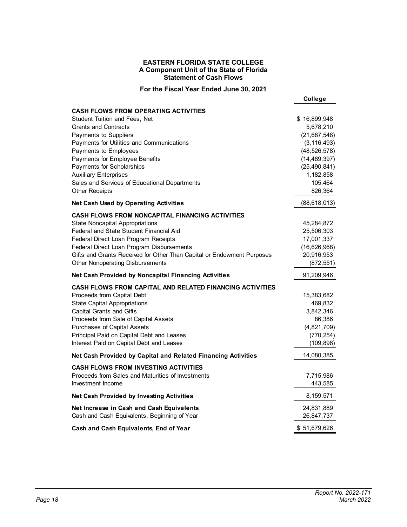### **EASTERN FLORIDA STATE COLLEGE A Component Unit of the State of Florida Statement of Cash Flows**

**For the Fiscal Year Ended June 30, 2021** 

<span id="page-21-0"></span>

|                                                                                 | College                  |
|---------------------------------------------------------------------------------|--------------------------|
| <b>CASH FLOWS FROM OPERATING ACTIVITIES</b>                                     |                          |
| Student Tuition and Fees, Net                                                   | \$16,899,948             |
| <b>Grants and Contracts</b>                                                     | 5,678,210                |
| Payments to Suppliers                                                           | (21, 687, 548)           |
| Payments for Utilities and Communications                                       | (3, 116, 493)            |
| Payments to Employees                                                           | (48, 526, 578)           |
| Payments for Employee Benefits                                                  | (14, 489, 397)           |
| Payments for Scholarships                                                       | (25, 490, 841)           |
| <b>Auxiliary Enterprises</b>                                                    | 1,182,858                |
| Sales and Services of Educational Departments<br><b>Other Receipts</b>          | 105,464<br>826,364       |
|                                                                                 |                          |
| <b>Net Cash Used by Operating Activities</b>                                    | (88, 618, 013)           |
| CASH FLOWS FROM NONCAPITAL FINANCING ACTIVITIES                                 |                          |
| <b>State Noncapital Appropriations</b>                                          | 45,284,872               |
| Federal and State Student Financial Aid<br>Federal Direct Loan Program Receipts | 25,506,303<br>17,001,337 |
| Federal Direct Loan Program Disbursements                                       | (16, 626, 968)           |
| Gifts and Grants Received for Other Than Capital or Endowment Purposes          | 20,916,953               |
| <b>Other Nonoperating Disbursements</b>                                         | (872, 551)               |
| Net Cash Provided by Noncapital Financing Activities                            | 91,209,946               |
| CASH FLOWS FROM CAPITAL AND RELATED FINANCING ACTIVITIES                        |                          |
| Proceeds from Capital Debt                                                      | 15,383,682               |
| <b>State Capital Appropriations</b>                                             | 469,832                  |
| <b>Capital Grants and Gifts</b>                                                 | 3,842,346                |
| Proceeds from Sale of Capital Assets                                            | 86,386                   |
| <b>Purchases of Capital Assets</b>                                              | (4,821,709)              |
| Principal Paid on Capital Debt and Leases                                       | (770, 254)               |
| Interest Paid on Capital Debt and Leases                                        | (109, 898)               |
| Net Cash Provided by Capital and Related Financing Activities                   | 14,080,385               |
| <b>CASH FLOWS FROM INVESTING ACTIVITIES</b>                                     |                          |
| Proceeds from Sales and Maturities of Investments                               | 7,715,986                |
| Investment Income                                                               | 443,585                  |
| <b>Net Cash Provided by Investing Activities</b>                                | 8,159,571                |
| Net Increase in Cash and Cash Equivalents                                       | 24,831,889               |
| Cash and Cash Equivalents, Beginning of Year                                    | 26,847,737               |
| Cash and Cash Equivalents, End of Year                                          | \$51,679,626             |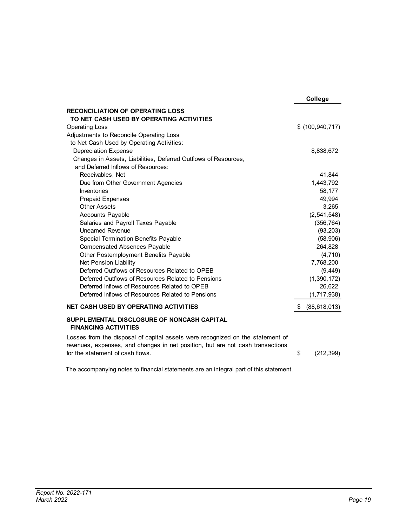|                                                                                                                                                                  |    | College           |
|------------------------------------------------------------------------------------------------------------------------------------------------------------------|----|-------------------|
| <b>RECONCILIATION OF OPERATING LOSS</b>                                                                                                                          |    |                   |
| TO NET CASH USED BY OPERATING ACTIVITIES                                                                                                                         |    |                   |
| <b>Operating Loss</b>                                                                                                                                            |    | \$(100, 940, 717) |
| Adjustments to Reconcile Operating Loss                                                                                                                          |    |                   |
| to Net Cash Used by Operating Activities:                                                                                                                        |    |                   |
| <b>Depreciation Expense</b>                                                                                                                                      |    | 8,838,672         |
| Changes in Assets, Liabilities, Deferred Outflows of Resources,                                                                                                  |    |                   |
| and Deferred Inflows of Resources:                                                                                                                               |    |                   |
| Receivables, Net                                                                                                                                                 |    | 41,844            |
| Due from Other Government Agencies                                                                                                                               |    | 1,443,792         |
| Inventories                                                                                                                                                      |    | 58,177            |
| <b>Prepaid Expenses</b>                                                                                                                                          |    | 49.994            |
| <b>Other Assets</b>                                                                                                                                              |    | 3,265             |
| <b>Accounts Payable</b>                                                                                                                                          |    | (2, 541, 548)     |
| Salaries and Payroll Taxes Payable                                                                                                                               |    | (356, 764)        |
| Unearned Revenue                                                                                                                                                 |    | (93, 203)         |
| Special Termination Benefits Payable                                                                                                                             |    | (58,906)          |
| <b>Compensated Absences Payable</b>                                                                                                                              |    | 264,828           |
| Other Postemployment Benefits Payable                                                                                                                            |    | (4, 710)          |
| <b>Net Pension Liability</b>                                                                                                                                     |    | 7,768,200         |
| Deferred Outflows of Resources Related to OPEB                                                                                                                   |    | (9, 449)          |
| Deferred Outflows of Resources Related to Pensions                                                                                                               |    | (1, 390, 172)     |
| Deferred Inflows of Resources Related to OPFB                                                                                                                    |    | 26,622            |
| Deferred Inflows of Resources Related to Pensions                                                                                                                |    | (1,717,938)       |
| <b>NET CASH USED BY OPERATING ACTIVITIES</b>                                                                                                                     | S  | (88, 618, 013)    |
| SUPPLEMENTAL DISCLOSURE OF NONCASH CAPITAL<br><b>FINANCING ACTIVITIES</b>                                                                                        |    |                   |
| Losses from the disposal of capital assets were recognized on the statement of<br>revenues, expenses, and changes in net position, but are not cash transactions |    |                   |
| for the statement of cash flows.                                                                                                                                 | \$ | (212, 399)        |

The accompanying notes to financial statements are an integral part of this statement.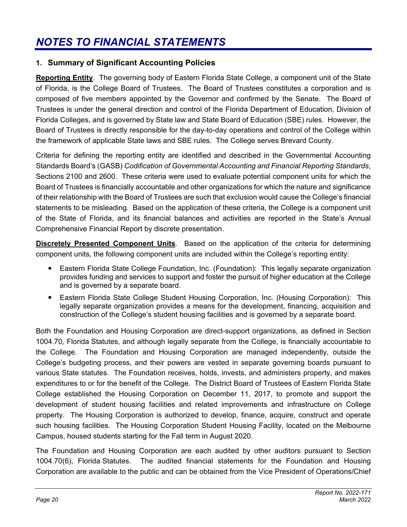# <span id="page-23-0"></span>*NOTES TO FINANCIAL STATEMENTS*

# **1. Summary of Significant Accounting Policies**

**Reporting Entity**. The governing body of Eastern Florida State College, a component unit of the State of Florida, is the College Board of Trustees. The Board of Trustees constitutes a corporation and is composed of five members appointed by the Governor and confirmed by the Senate. The Board of Trustees is under the general direction and control of the Florida Department of Education, Division of Florida Colleges, and is governed by State law and State Board of Education (SBE) rules. However, the Board of Trustees is directly responsible for the day-to-day operations and control of the College within the framework of applicable State laws and SBE rules. The College serves Brevard County.

Criteria for defining the reporting entity are identified and described in the Governmental Accounting Standards Board's (GASB) *Codification of Governmental Accounting and Financial Reporting Standards*, Sections 2100 and 2600. These criteria were used to evaluate potential component units for which the Board of Trustees is financially accountable and other organizations for which the nature and significance of their relationship with the Board of Trustees are such that exclusion would cause the College's financial statements to be misleading. Based on the application of these criteria, the College is a component unit of the State of Florida, and its financial balances and activities are reported in the State's Annual Comprehensive Financial Report by discrete presentation.

**Discretely Presented Component Units**. Based on the application of the criteria for determining component units, the following component units are included within the College's reporting entity:

- Eastern Florida State College Foundation, Inc. (Foundation): This legally separate organization provides funding and services to support and foster the pursuit of higher education at the College and is governed by a separate board.
- Eastern Florida State College Student Housing Corporation, Inc. (Housing Corporation): This legally separate organization provides a means for the development, financing, acquisition and construction of the College's student housing facilities and is governed by a separate board.

Both the Foundation and Housing Corporation are direct-support organizations, as defined in Section 1004.70, Florida Statutes, and although legally separate from the College, is financially accountable to the College. The Foundation and Housing Corporation are managed independently, outside the College's budgeting process, and their powers are vested in separate governing boards pursuant to various State statutes. The Foundation receives, holds, invests, and administers property, and makes expenditures to or for the benefit of the College. The District Board of Trustees of Eastern Florida State College established the Housing Corporation on December 11, 2017, to promote and support the development of student housing facilities and related improvements and infrastructure on College property. The Housing Corporation is authorized to develop, finance, acquire, construct and operate such housing facilities. The Housing Corporation Student Housing Facility, located on the Melbourne Campus, housed students starting for the Fall term in August 2020.

The Foundation and Housing Corporation are each audited by other auditors pursuant to Section 1004.70(6), Florida Statutes. The audited financial statements for the Foundation and Housing Corporation are available to the public and can be obtained from the Vice President of Operations/Chief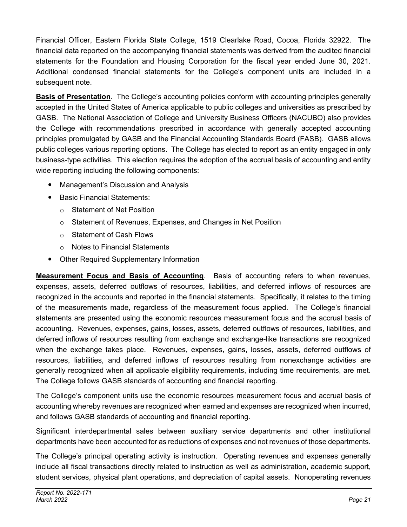Financial Officer, Eastern Florida State College, 1519 Clearlake Road, Cocoa, Florida 32922. The financial data reported on the accompanying financial statements was derived from the audited financial statements for the Foundation and Housing Corporation for the fiscal year ended June 30, 2021. Additional condensed financial statements for the College's component units are included in a subsequent note.

**Basis of Presentation**. The College's accounting policies conform with accounting principles generally accepted in the United States of America applicable to public colleges and universities as prescribed by GASB. The National Association of College and University Business Officers (NACUBO) also provides the College with recommendations prescribed in accordance with generally accepted accounting principles promulgated by GASB and the Financial Accounting Standards Board (FASB). GASB allows public colleges various reporting options. The College has elected to report as an entity engaged in only business-type activities. This election requires the adoption of the accrual basis of accounting and entity wide reporting including the following components:

- Management's Discussion and Analysis
- Basic Financial Statements:
	- o Statement of Net Position
	- o Statement of Revenues, Expenses, and Changes in Net Position
	- o Statement of Cash Flows
	- o Notes to Financial Statements
- Other Required Supplementary Information

**Measurement Focus and Basis of Accounting**. Basis of accounting refers to when revenues, expenses, assets, deferred outflows of resources, liabilities, and deferred inflows of resources are recognized in the accounts and reported in the financial statements. Specifically, it relates to the timing of the measurements made, regardless of the measurement focus applied. The College's financial statements are presented using the economic resources measurement focus and the accrual basis of accounting. Revenues, expenses, gains, losses, assets, deferred outflows of resources, liabilities, and deferred inflows of resources resulting from exchange and exchange-like transactions are recognized when the exchange takes place. Revenues, expenses, gains, losses, assets, deferred outflows of resources, liabilities, and deferred inflows of resources resulting from nonexchange activities are generally recognized when all applicable eligibility requirements, including time requirements, are met. The College follows GASB standards of accounting and financial reporting.

The College's component units use the economic resources measurement focus and accrual basis of accounting whereby revenues are recognized when earned and expenses are recognized when incurred, and follows GASB standards of accounting and financial reporting.

Significant interdepartmental sales between auxiliary service departments and other institutional departments have been accounted for as reductions of expenses and not revenues of those departments.

The College's principal operating activity is instruction. Operating revenues and expenses generally include all fiscal transactions directly related to instruction as well as administration, academic support, student services, physical plant operations, and depreciation of capital assets. Nonoperating revenues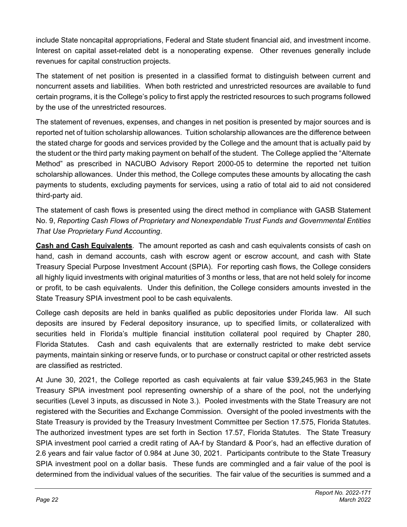include State noncapital appropriations, Federal and State student financial aid, and investment income. Interest on capital asset-related debt is a nonoperating expense. Other revenues generally include revenues for capital construction projects.

The statement of net position is presented in a classified format to distinguish between current and noncurrent assets and liabilities. When both restricted and unrestricted resources are available to fund certain programs, it is the College's policy to first apply the restricted resources to such programs followed by the use of the unrestricted resources.

The statement of revenues, expenses, and changes in net position is presented by major sources and is reported net of tuition scholarship allowances. Tuition scholarship allowances are the difference between the stated charge for goods and services provided by the College and the amount that is actually paid by the student or the third party making payment on behalf of the student. The College applied the "Alternate Method" as prescribed in NACUBO Advisory Report 2000-05 to determine the reported net tuition scholarship allowances. Under this method, the College computes these amounts by allocating the cash payments to students, excluding payments for services, using a ratio of total aid to aid not considered third-party aid.

The statement of cash flows is presented using the direct method in compliance with GASB Statement No. 9, *Reporting Cash Flows of Proprietary and Nonexpendable Trust Funds and Governmental Entities That Use Proprietary Fund Accounting*.

**Cash and Cash Equivalents**. The amount reported as cash and cash equivalents consists of cash on hand, cash in demand accounts, cash with escrow agent or escrow account, and cash with State Treasury Special Purpose Investment Account (SPIA). For reporting cash flows, the College considers all highly liquid investments with original maturities of 3 months or less, that are not held solely for income or profit, to be cash equivalents. Under this definition, the College considers amounts invested in the State Treasury SPIA investment pool to be cash equivalents.

College cash deposits are held in banks qualified as public depositories under Florida law. All such deposits are insured by Federal depository insurance, up to specified limits, or collateralized with securities held in Florida's multiple financial institution collateral pool required by Chapter 280, Florida Statutes. Cash and cash equivalents that are externally restricted to make debt service payments, maintain sinking or reserve funds, or to purchase or construct capital or other restricted assets are classified as restricted.

At June 30, 2021, the College reported as cash equivalents at fair value \$39,245,963 in the State Treasury SPIA investment pool representing ownership of a share of the pool, not the underlying securities (Level 3 inputs, as discussed in Note 3.). Pooled investments with the State Treasury are not registered with the Securities and Exchange Commission. Oversight of the pooled investments with the State Treasury is provided by the Treasury Investment Committee per Section 17.575, Florida Statutes. The authorized investment types are set forth in Section 17.57, Florida Statutes. The State Treasury SPIA investment pool carried a credit rating of AA-f by Standard & Poor's, had an effective duration of 2.6 years and fair value factor of 0.984 at June 30, 2021. Participants contribute to the State Treasury SPIA investment pool on a dollar basis. These funds are commingled and a fair value of the pool is determined from the individual values of the securities. The fair value of the securities is summed and a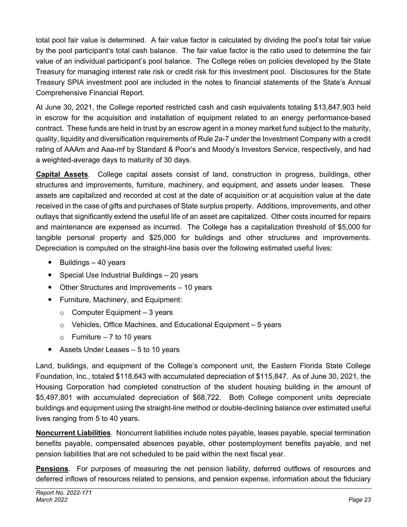total pool fair value is determined. A fair value factor is calculated by dividing the pool's total fair value by the pool participant's total cash balance. The fair value factor is the ratio used to determine the fair value of an individual participant's pool balance. The College relies on policies developed by the State Treasury for managing interest rate risk or credit risk for this investment pool. Disclosures for the State Treasury SPIA investment pool are included in the notes to financial statements of the State's Annual Comprehensive Financial Report.

At June 30, 2021, the College reported restricted cash and cash equivalents totaling \$13,847,903 held in escrow for the acquisition and installation of equipment related to an energy performance-based contract. These funds are held in trust by an escrow agent in a money market fund subject to the maturity, quality, liquidity and diversification requirements of Rule 2a-7 under the Investment Company with a credit rating of AAAm and Aaa-mf by Standard & Poor's and Moody's Investors Service, respectively, and had a weighted-average days to maturity of 30 days.

**Capital Assets**. College capital assets consist of land, construction in progress, buildings, other structures and improvements, furniture, machinery, and equipment, and assets under leases. These assets are capitalized and recorded at cost at the date of acquisition or at acquisition value at the date received in the case of gifts and purchases of State surplus property. Additions, improvements, and other outlays that significantly extend the useful life of an asset are capitalized. Other costs incurred for repairs and maintenance are expensed as incurred. The College has a capitalization threshold of \$5,000 for tangible personal property and \$25,000 for buildings and other structures and improvements. Depreciation is computed on the straight-line basis over the following estimated useful lives:

- $\bullet$  Buildings 40 years
- $\bullet$  Special Use Industrial Buildings  $-20$  years
- Other Structures and Improvements 10 years
- Furniture, Machinery, and Equipment:
	- $\circ$  Computer Equipment 3 years
	- $\circ$  Vehicles, Office Machines, and Educational Equipment 5 years
	- $\circ$  Furniture 7 to 10 years
- Assets Under Leases 5 to 10 years

Land, buildings, and equipment of the College's component unit, the Eastern Florida State College Foundation, Inc., totaled \$118,643 with accumulated depreciation of \$115,847. As of June 30, 2021, the Housing Corporation had completed construction of the student housing building in the amount of \$5,497,801 with accumulated depreciation of \$68,722. Both College component units depreciate buildings and equipment using the straight-line method or double-declining balance over estimated useful lives ranging from 5 to 40 years.

**Noncurrent Liabilities**. Noncurrent liabilities include notes payable, leases payable, special termination benefits payable, compensated absences payable, other postemployment benefits payable, and net pension liabilities that are not scheduled to be paid within the next fiscal year.

**Pensions**. For purposes of measuring the net pension liability, deferred outflows of resources and deferred inflows of resources related to pensions, and pension expense, information about the fiduciary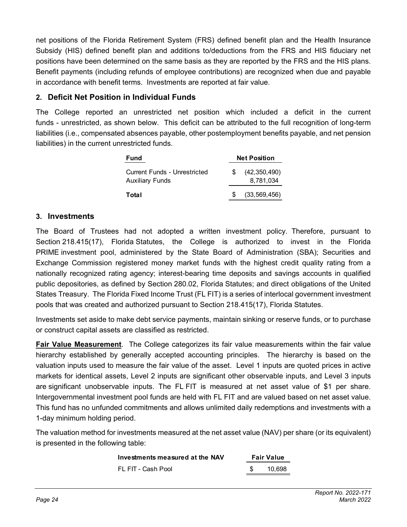net positions of the Florida Retirement System (FRS) defined benefit plan and the Health Insurance Subsidy (HIS) defined benefit plan and additions to/deductions from the FRS and HIS fiduciary net positions have been determined on the same basis as they are reported by the FRS and the HIS plans. Benefit payments (including refunds of employee contributions) are recognized when due and payable in accordance with benefit terms. Investments are reported at fair value.

# **2. Deficit Net Position in Individual Funds**

The College reported an unrestricted net position which included a deficit in the current funds - unrestricted, as shown below. This deficit can be attributed to the full recognition of long-term liabilities (i.e., compensated absences payable, other postemployment benefits payable, and net pension liabilities) in the current unrestricted funds.

| Fund                                                   | <b>Net Position</b> |                             |  |
|--------------------------------------------------------|---------------------|-----------------------------|--|
| Current Funds - Unrestricted<br><b>Auxiliary Funds</b> |                     | (42, 350, 490)<br>8.781.034 |  |
| Total                                                  |                     | (33, 569, 456)              |  |

# **3. Investments**

The Board of Trustees had not adopted a written investment policy. Therefore, pursuant to Section 218.415(17), Florida Statutes, the College is authorized to invest in the Florida PRIME investment pool, administered by the State Board of Administration (SBA); Securities and Exchange Commission registered money market funds with the highest credit quality rating from a nationally recognized rating agency; interest-bearing time deposits and savings accounts in qualified public depositories, as defined by Section 280.02, Florida Statutes; and direct obligations of the United States Treasury. The Florida Fixed Income Trust (FL FIT) is a series of interlocal government investment pools that was created and authorized pursuant to Section 218.415(17), Florida Statutes.

Investments set aside to make debt service payments, maintain sinking or reserve funds, or to purchase or construct capital assets are classified as restricted.

**Fair Value Measurement**. The College categorizes its fair value measurements within the fair value hierarchy established by generally accepted accounting principles. The hierarchy is based on the valuation inputs used to measure the fair value of the asset. Level 1 inputs are quoted prices in active markets for identical assets, Level 2 inputs are significant other observable inputs, and Level 3 inputs are significant unobservable inputs. The FL FIT is measured at net asset value of \$1 per share. Intergovernmental investment pool funds are held with FL FIT and are valued based on net asset value. This fund has no unfunded commitments and allows unlimited daily redemptions and investments with a 1-day minimum holding period.

The valuation method for investments measured at the net asset value (NAV) per share (or its equivalent) is presented in the following table:

| Investments measured at the NAV | <b>Fair Value</b> |        |
|---------------------------------|-------------------|--------|
| FL FIT - Cash Pool              |                   | 10.698 |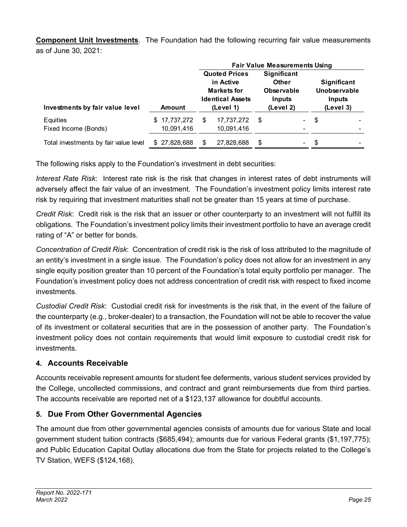|                                       |                            | <b>Fair Value Measurements Using</b>                                                                                                                                       |                          |    |         |                                                    |  |  |
|---------------------------------------|----------------------------|----------------------------------------------------------------------------------------------------------------------------------------------------------------------------|--------------------------|----|---------|----------------------------------------------------|--|--|
| Investments by fair value level       | <b>Amount</b>              | Significant<br><b>Quoted Prices</b><br>in Active<br><b>Other</b><br><b>Markets for</b><br><b>Observable</b><br><b>Identical Assets</b><br>Inputs<br>(Level 2)<br>(Level 1) |                          |    |         | Significant<br>Unobservable<br>Inputs<br>(Level 3) |  |  |
| Equities<br>Fixed Income (Bonds)      | \$17,737,272<br>10,091,416 | \$                                                                                                                                                                         | 17,737,272<br>10,091,416 | \$ | ۰.<br>- | \$                                                 |  |  |
| Total investments by fair value level | \$27,828,688               | \$.                                                                                                                                                                        | 27,828,688               | \$ | ۰       | S                                                  |  |  |

**Component Unit Investments**. The Foundation had the following recurring fair value measurements as of June 30, 2021:

The following risks apply to the Foundation's investment in debt securities:

*Interest Rate Risk*:Interest rate risk is the risk that changes in interest rates of debt instruments will adversely affect the fair value of an investment. The Foundation's investment policy limits interest rate risk by requiring that investment maturities shall not be greater than 15 years at time of purchase.

*Credit Risk*: Credit risk is the risk that an issuer or other counterparty to an investment will not fulfill its obligations. The Foundation's investment policy limits their investment portfolio to have an average credit rating of "A" or better for bonds.

*Concentration of Credit Risk*: Concentration of credit risk is the risk of loss attributed to the magnitude of an entity's investment in a single issue. The Foundation's policy does not allow for an investment in any single equity position greater than 10 percent of the Foundation's total equity portfolio per manager. The Foundation's investment policy does not address concentration of credit risk with respect to fixed income investments.

*Custodial Credit Risk*: Custodial credit risk for investments is the risk that, in the event of the failure of the counterparty (e.g., broker-dealer) to a transaction, the Foundation will not be able to recover the value of its investment or collateral securities that are in the possession of another party. The Foundation's investment policy does not contain requirements that would limit exposure to custodial credit risk for investments.

# **4. Accounts Receivable**

Accounts receivable represent amounts for student fee deferments, various student services provided by the College, uncollected commissions, and contract and grant reimbursements due from third parties. The accounts receivable are reported net of a \$123,137 allowance for doubtful accounts.

# **5. Due From Other Governmental Agencies**

The amount due from other governmental agencies consists of amounts due for various State and local government student tuition contracts (\$685,494); amounts due for various Federal grants (\$1,197,775); and Public Education Capital Outlay allocations due from the State for projects related to the College's TV Station, WEFS (\$124,168).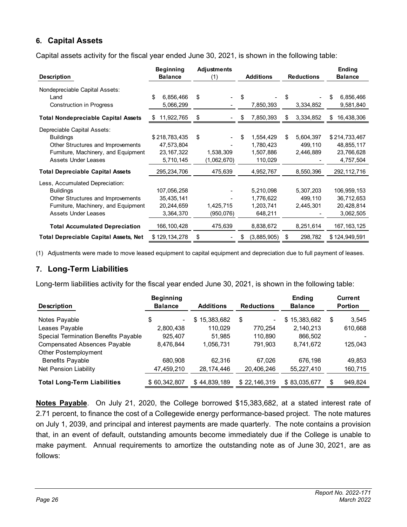# **6. Capital Assets**

Capital assets activity for the fiscal year ended June 30, 2021, is shown in the following table:

| <b>Description</b>                           | <b>Beginning</b><br><b>Balance</b> | <b>Adjustments</b><br>(1) | <b>Additions</b>  | <b>Reductions</b> | <b>Ending</b><br><b>Balance</b> |
|----------------------------------------------|------------------------------------|---------------------------|-------------------|-------------------|---------------------------------|
| Nondepreciable Capital Assets:               |                                    |                           |                   |                   |                                 |
| Land                                         | 6,856,466<br>\$.                   | \$                        | \$                | \$                | \$<br>6,856,466                 |
| <b>Construction in Progress</b>              | 5,066,299                          |                           | 7,850,393         | 3,334,852         | 9,581,840                       |
| <b>Total Nondepreciable Capital Assets</b>   | 11,922,765<br>S                    | \$                        | 7,850,393<br>\$   | 3,334,852<br>\$   | 16,438,306<br>\$                |
| Depreciable Capital Assets:                  |                                    |                           |                   |                   |                                 |
| <b>Buildings</b>                             | \$218,783,435                      | \$                        | 1,554,429<br>S    | \$<br>5,604,397   | \$214,733,467                   |
| Other Structures and Improvements            | 47,573,804                         |                           | 1,780,423         | 499,110           | 48,855,117                      |
| Furniture, Machinery, and Equipment          | 23, 167, 322                       | 1,538,309                 | 1,507,886         | 2,446,889         | 23,766,628                      |
| <b>Assets Under Leases</b>                   | 5,710,145                          | (1,062,670)               | 110,029           |                   | 4,757,504                       |
| <b>Total Depreciable Capital Assets</b>      | 295,234,706                        | 475,639                   | 4,952,767         | 8,550,396         | 292, 112, 716                   |
| Less, Accumulated Depreciation:              |                                    |                           |                   |                   |                                 |
| <b>Buildings</b>                             | 107,056,258                        |                           | 5,210,098         | 5,307,203         | 106,959,153                     |
| Other Structures and Improvements            | 35,435,141                         |                           | 1,776,622         | 499,110           | 36,712,653                      |
| Furniture, Machinery, and Equipment          | 20,244,659                         | 1,425,715                 | 1,203,741         | 2,445,301         | 20,428,814                      |
| <b>Assets Under Leases</b>                   | 3,364,370                          | (950, 076)                | 648,211           |                   | 3,062,505                       |
| <b>Total Accumulated Depreciation</b>        | 166, 100, 428                      | 475,639                   | 8,838,672         | 8,251,614         | 167, 163, 125                   |
| <b>Total Depreciable Capital Assets, Net</b> | \$129,134,278                      | \$                        | (3,885,905)<br>\$ | \$<br>298,782     | \$124,949,591                   |

(1) Adjustments were made to move leased equipment to capital equipment and depreciation due to full payment of leases.

# **7. Long-Term Liabilities**

Long-term liabilities activity for the fiscal year ended June 30, 2021, is shown in the following table:

| <b>Description</b>                   | <b>Beginning</b><br><b>Balance</b> | <b>Additions</b> | <b>Reductions</b>    | <b>Ending</b><br><b>Balance</b> | <b>Current</b><br><b>Portion</b> |
|--------------------------------------|------------------------------------|------------------|----------------------|---------------------------------|----------------------------------|
|                                      |                                    |                  |                      |                                 |                                  |
| Notes Payable                        | \$<br>-                            | 15,383,682<br>\$ | \$<br>$\blacksquare$ | \$15,383,682                    | \$<br>3,545                      |
| Leases Payable                       | 2.800.438                          | 110.029          | 770.254              | 2,140,213                       | 610,668                          |
| Special Termination Benefits Payable | 925.407                            | 51.985           | 110,890              | 866,502                         |                                  |
| <b>Compensated Absences Payable</b>  | 8,476,844                          | 1,056,731        | 791.903              | 8,741,672                       | 125,043                          |
| Other Postemployment                 |                                    |                  |                      |                                 |                                  |
| <b>Benefits Payable</b>              | 680.908                            | 62,316           | 67.026               | 676.198                         | 49,853                           |
| Net Pension Liability                | 47,459,210                         | 28, 174, 446     | 20,406,246           | 55,227,410                      | 160,715                          |
| <b>Total Long-Term Liabilities</b>   | \$60,342,807                       | \$44,839,189     | \$22,146,319         | \$83,035,677                    | \$<br>949.824                    |

**Notes Payable**. On July 21, 2020, the College borrowed \$15,383,682, at a stated interest rate of 2.71 percent, to finance the cost of a Collegewide energy performance-based project. The note matures on July 1, 2039, and principal and interest payments are made quarterly. The note contains a provision that, in an event of default, outstanding amounts become immediately due if the College is unable to make payment. Annual requirements to amortize the outstanding note as of June 30, 2021, are as follows: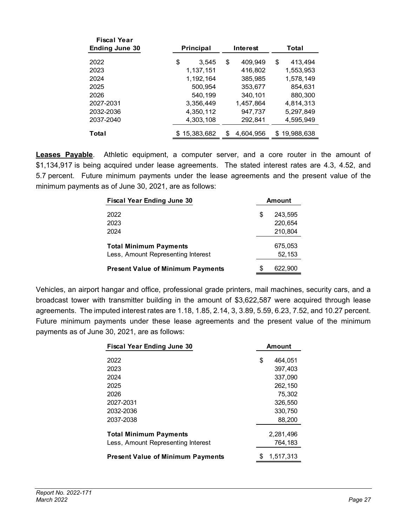| Fiscal Year           |                  |                 |                   |
|-----------------------|------------------|-----------------|-------------------|
| <b>Ending June 30</b> | <b>Principal</b> | Interest        | Total             |
| 2022                  | 3,545            | \$              | 413,494           |
| 2023                  | \$               | 409,949         | \$                |
| 2024                  | 1,137,151        | 416,802         | 1,553,953         |
|                       | 1, 192, 164      | 385,985         | 1,578,149         |
| 2025                  | 500,954          | 353,677         | 854,631           |
| 2026                  | 540,199          | 340,101         | 880,300           |
| 2027-2031             | 3,356,449        | 1,457,864       | 4,814,313         |
| 2032-2036             | 4,350,112        | 947,737         | 5,297,849         |
| 2037-2040             | 4,303,108        | 292,841         | 4,595,949         |
| Total                 | 15,383,682       | 4.604.956<br>\$ | 19,988,638<br>\$. |

**Leases Payable**. Athletic equipment, a computer server, and a core router in the amount of \$1,134,917 is being acquired under lease agreements. The stated interest rates are 4.3, 4.52, and 5.7 percent. Future minimum payments under the lease agreements and the present value of the minimum payments as of June 30, 2021, are as follows:

| <b>Fiscal Year Ending June 30</b>                                   | <b>Amount</b> |                   |
|---------------------------------------------------------------------|---------------|-------------------|
| 2022                                                                | \$            | 243,595           |
| 2023                                                                |               | 220,654           |
| 2024                                                                |               | 210,804           |
| <b>Total Minimum Payments</b><br>Less, Amount Representing Interest |               | 675.053<br>52,153 |
| <b>Present Value of Minimum Payments</b>                            |               | 622,900           |

Vehicles, an airport hangar and office, professional grade printers, mail machines, security cars, and a broadcast tower with transmitter building in the amount of \$3,622,587 were acquired through lease agreements. The imputed interest rates are 1.18, 1.85, 2.14, 3, 3.89, 5.59, 6.23, 7.52, and 10.27 percent. Future minimum payments under these lease agreements and the present value of the minimum payments as of June 30, 2021, are as follows:

| <b>Fiscal Year Ending June 30</b>        | Amount    |           |
|------------------------------------------|-----------|-----------|
| 2022                                     | \$        | 464.051   |
| 2023                                     |           | 397.403   |
| 2024                                     |           | 337,090   |
| 2025                                     |           | 262,150   |
| 2026                                     |           | 75,302    |
| 2027-2031                                |           | 326,550   |
| 2032-2036                                |           | 330,750   |
| 2037-2038                                | 88,200    |           |
| <b>Total Minimum Payments</b>            |           | 2,281,496 |
| Less, Amount Representing Interest       |           | 764,183   |
| <b>Present Value of Minimum Payments</b> | 1,517,313 |           |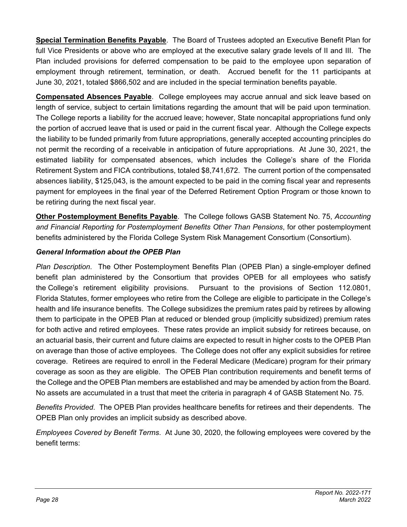**Special Termination Benefits Payable**. The Board of Trustees adopted an Executive Benefit Plan for full Vice Presidents or above who are employed at the executive salary grade levels of II and III. The Plan included provisions for deferred compensation to be paid to the employee upon separation of employment through retirement, termination, or death. Accrued benefit for the 11 participants at June 30, 2021, totaled \$866,502 and are included in the special termination benefits payable.

**Compensated Absences Payable**. College employees may accrue annual and sick leave based on length of service, subject to certain limitations regarding the amount that will be paid upon termination. The College reports a liability for the accrued leave; however, State noncapital appropriations fund only the portion of accrued leave that is used or paid in the current fiscal year. Although the College expects the liability to be funded primarily from future appropriations, generally accepted accounting principles do not permit the recording of a receivable in anticipation of future appropriations. At June 30, 2021, the estimated liability for compensated absences, which includes the College's share of the Florida Retirement System and FICA contributions, totaled \$8,741,672. The current portion of the compensated absences liability, \$125,043, is the amount expected to be paid in the coming fiscal year and represents payment for employees in the final year of the Deferred Retirement Option Program or those known to be retiring during the next fiscal year.

**Other Postemployment Benefits Payable**. The College follows GASB Statement No. 75, *Accounting and Financial Reporting for Postemployment Benefits Other Than Pensions*, for other postemployment benefits administered by the Florida College System Risk Management Consortium (Consortium).

# *General Information about the OPEB Plan*

*Plan Description*. The Other Postemployment Benefits Plan (OPEB Plan) a single-employer defined benefit plan administered by the Consortium that provides OPEB for all employees who satisfy the College's retirement eligibility provisions. Pursuant to the provisions of Section 112.0801, Florida Statutes, former employees who retire from the College are eligible to participate in the College's health and life insurance benefits. The College subsidizes the premium rates paid by retirees by allowing them to participate in the OPEB Plan at reduced or blended group (implicitly subsidized) premium rates for both active and retired employees. These rates provide an implicit subsidy for retirees because, on an actuarial basis, their current and future claims are expected to result in higher costs to the OPEB Plan on average than those of active employees. The College does not offer any explicit subsidies for retiree coverage. Retirees are required to enroll in the Federal Medicare (Medicare) program for their primary coverage as soon as they are eligible. The OPEB Plan contribution requirements and benefit terms of the College and the OPEB Plan members are established and may be amended by action from the Board. No assets are accumulated in a trust that meet the criteria in paragraph 4 of GASB Statement No. 75.

*Benefits Provided*. The OPEB Plan provides healthcare benefits for retirees and their dependents. The OPEB Plan only provides an implicit subsidy as described above.

*Employees Covered by Benefit Terms*. At June 30, 2020, the following employees were covered by the benefit terms: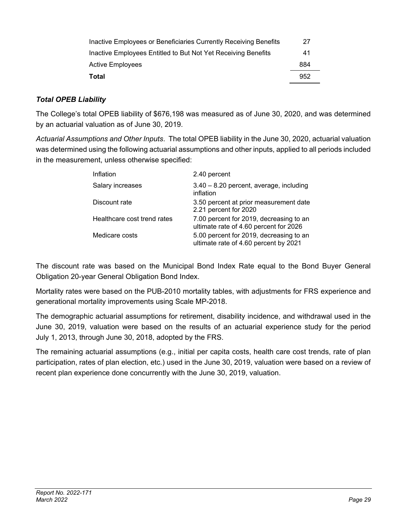| Inactive Employees or Beneficiaries Currently Receiving Benefits | 27  |  |
|------------------------------------------------------------------|-----|--|
| Inactive Employees Entitled to But Not Yet Receiving Benefits    | 41  |  |
| Active Employees                                                 | 884 |  |
| Total                                                            | 952 |  |
|                                                                  |     |  |

# *Total OPEB Liability*

The College's total OPEB liability of \$676,198 was measured as of June 30, 2020, and was determined by an actuarial valuation as of June 30, 2019.

*Actuarial Assumptions and Other Inputs*. The total OPEB liability in the June 30, 2020, actuarial valuation was determined using the following actuarial assumptions and other inputs, applied to all periods included in the measurement, unless otherwise specified:

| Inflation                   | 2.40 percent                                                                      |
|-----------------------------|-----------------------------------------------------------------------------------|
| Salary increases            | $3.40 - 8.20$ percent, average, including<br>inflation                            |
| Discount rate               | 3.50 percent at prior measurement date<br>2.21 percent for 2020                   |
| Healthcare cost trend rates | 7.00 percent for 2019, decreasing to an<br>ultimate rate of 4.60 percent for 2026 |
| Medicare costs              | 5.00 percent for 2019, decreasing to an<br>ultimate rate of 4.60 percent by 2021  |

The discount rate was based on the Municipal Bond Index Rate equal to the Bond Buyer General Obligation 20-year General Obligation Bond Index.

Mortality rates were based on the PUB-2010 mortality tables, with adjustments for FRS experience and generational mortality improvements using Scale MP-2018.

The demographic actuarial assumptions for retirement, disability incidence, and withdrawal used in the June 30, 2019, valuation were based on the results of an actuarial experience study for the period July 1, 2013, through June 30, 2018, adopted by the FRS.

The remaining actuarial assumptions (e.g., initial per capita costs, health care cost trends, rate of plan participation, rates of plan election, etc.) used in the June 30, 2019, valuation were based on a review of recent plan experience done concurrently with the June 30, 2019, valuation.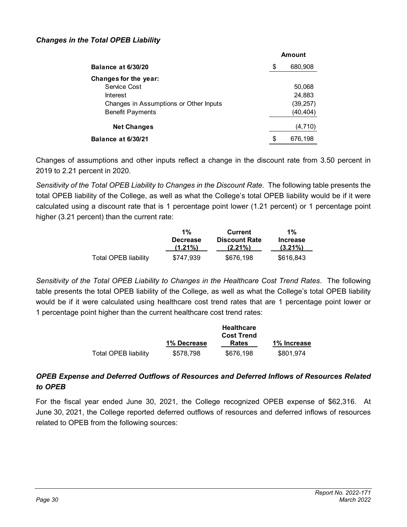### *Changes in the Total OPEB Liability*

|                                        | <b>Amount</b> |
|----------------------------------------|---------------|
| Balance at 6/30/20                     | \$<br>680,908 |
| Changes for the year:                  |               |
| Service Cost                           | 50,068        |
| Interest                               | 24,883        |
| Changes in Assumptions or Other Inputs | (39, 257)     |
| <b>Benefit Payments</b>                | (40,404)      |
| <b>Net Changes</b>                     | (4,710)       |
| Balance at 6/30/21                     | \$<br>676.198 |

Changes of assumptions and other inputs reflect a change in the discount rate from 3.50 percent in 2019 to 2.21 percent in 2020.

*Sensitivity of the Total OPEB Liability to Changes in the Discount Rate*. The following table presents the total OPEB liability of the College, as well as what the College's total OPEB liability would be if it were calculated using a discount rate that is 1 percentage point lower (1.21 percent) or 1 percentage point higher (3.21 percent) than the current rate:

|                             | $1\%$                         | <b>Current</b>                     | $1\%$                         |  |
|-----------------------------|-------------------------------|------------------------------------|-------------------------------|--|
|                             | <b>Decrease</b><br>$(1.21\%)$ | <b>Discount Rate</b><br>$(2.21\%)$ | <b>Increase</b><br>$(3.21\%)$ |  |
| <b>Total OPEB liability</b> | \$747.939                     | \$676.198                          | \$616,843                     |  |

*Sensitivity of the Total OPEB Liability to Changes in the Healthcare Cost Trend Rates*. The following table presents the total OPEB liability of the College, as well as what the College's total OPEB liability would be if it were calculated using healthcare cost trend rates that are 1 percentage point lower or 1 percentage point higher than the current healthcare cost trend rates:

|                             |             | <b>Healthcare</b><br><b>Cost Trend</b> |             |
|-----------------------------|-------------|----------------------------------------|-------------|
|                             | 1% Decrease | <b>Rates</b>                           | 1% Increase |
| <b>Total OPEB liability</b> | \$578.798   | \$676.198                              | \$801,974   |

# *OPEB Expense and Deferred Outflows of Resources and Deferred Inflows of Resources Related to OPEB*

For the fiscal year ended June 30, 2021, the College recognized OPEB expense of \$62,316. At June 30, 2021, the College reported deferred outflows of resources and deferred inflows of resources related to OPEB from the following sources: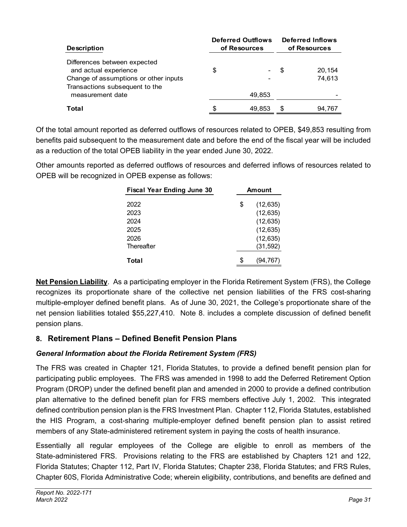| <b>Description</b>                                                                                                               |    | <b>Deferred Outflows</b><br>of Resources |    | Deferred Inflows<br>of Resources |  |
|----------------------------------------------------------------------------------------------------------------------------------|----|------------------------------------------|----|----------------------------------|--|
| Differences between expected<br>and actual experience<br>Change of assumptions or other inputs<br>Transactions subsequent to the | \$ |                                          | \$ | 20,154<br>74,613                 |  |
| measurement date                                                                                                                 |    | 49,853                                   |    |                                  |  |
| Total                                                                                                                            | S  | 49,853                                   | S  | 94,767                           |  |

Of the total amount reported as deferred outflows of resources related to OPEB, \$49,853 resulting from benefits paid subsequent to the measurement date and before the end of the fiscal year will be included as a reduction of the total OPEB liability in the year ended June 30, 2022.

Other amounts reported as deferred outflows of resources and deferred inflows of resources related to OPEB will be recognized in OPEB expense as follows:

| <b>Fiscal Year Ending June 30</b> |    | Amount    |  |
|-----------------------------------|----|-----------|--|
| 2022                              | \$ | (12, 635) |  |
|                                   |    |           |  |
| 2023                              |    | (12, 635) |  |
| 2024                              |    | (12, 635) |  |
| 2025                              |    | (12, 635) |  |
| 2026                              |    | (12, 635) |  |
| Thereafter                        |    | (31, 592) |  |
| Total                             | \$ | (94, 767) |  |

**Net Pension Liability**. As a participating employer in the Florida Retirement System (FRS), the College recognizes its proportionate share of the collective net pension liabilities of the FRS cost-sharing multiple-employer defined benefit plans. As of June 30, 2021, the College's proportionate share of the net pension liabilities totaled \$55,227,410. Note 8. includes a complete discussion of defined benefit pension plans.

# **8. Retirement Plans – Defined Benefit Pension Plans**

# *General Information about the Florida Retirement System (FRS)*

The FRS was created in Chapter 121, Florida Statutes, to provide a defined benefit pension plan for participating public employees. The FRS was amended in 1998 to add the Deferred Retirement Option Program (DROP) under the defined benefit plan and amended in 2000 to provide a defined contribution plan alternative to the defined benefit plan for FRS members effective July 1, 2002. This integrated defined contribution pension plan is the FRS Investment Plan. Chapter 112, Florida Statutes, established the HIS Program, a cost-sharing multiple-employer defined benefit pension plan to assist retired members of any State-administered retirement system in paying the costs of health insurance.

Essentially all regular employees of the College are eligible to enroll as members of the State-administered FRS. Provisions relating to the FRS are established by Chapters 121 and 122, Florida Statutes; Chapter 112, Part IV, Florida Statutes; Chapter 238, Florida Statutes; and FRS Rules, Chapter 60S, Florida Administrative Code; wherein eligibility, contributions, and benefits are defined and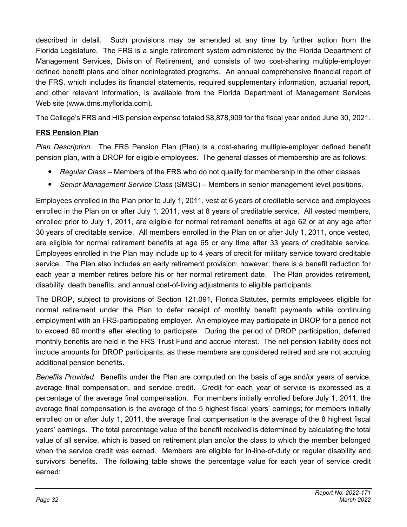described in detail. Such provisions may be amended at any time by further action from the Florida Legislature. The FRS is a single retirement system administered by the Florida Department of Management Services, Division of Retirement, and consists of two cost-sharing multiple-employer defined benefit plans and other nonintegrated programs. An annual comprehensive financial report of the FRS, which includes its financial statements, required supplementary information, actuarial report, and other relevant information, is available from the Florida Department of Management Services Web site (www.dms.myflorida.com).

The College's FRS and HIS pension expense totaled \$8,878,909 for the fiscal year ended June 30, 2021.

# **FRS Pension Plan**

*Plan Description*. The FRS Pension Plan (Plan) is a cost-sharing multiple-employer defined benefit pension plan, with a DROP for eligible employees. The general classes of membership are as follows:

- *Regular Class* Members of the FRS who do not qualify for membership in the other classes.
- *Senior Management Service Class* (SMSC) Members in senior management level positions.

Employees enrolled in the Plan prior to July 1, 2011, vest at 6 years of creditable service and employees enrolled in the Plan on or after July 1, 2011, vest at 8 years of creditable service. All vested members, enrolled prior to July 1, 2011, are eligible for normal retirement benefits at age 62 or at any age after 30 years of creditable service. All members enrolled in the Plan on or after July 1, 2011, once vested, are eligible for normal retirement benefits at age 65 or any time after 33 years of creditable service. Employees enrolled in the Plan may include up to 4 years of credit for military service toward creditable service. The Plan also includes an early retirement provision; however, there is a benefit reduction for each year a member retires before his or her normal retirement date. The Plan provides retirement, disability, death benefits, and annual cost-of-living adjustments to eligible participants.

The DROP, subject to provisions of Section 121.091, Florida Statutes, permits employees eligible for normal retirement under the Plan to defer receipt of monthly benefit payments while continuing employment with an FRS-participating employer. An employee may participate in DROP for a period not to exceed 60 months after electing to participate. During the period of DROP participation, deferred monthly benefits are held in the FRS Trust Fund and accrue interest. The net pension liability does not include amounts for DROP participants, as these members are considered retired and are not accruing additional pension benefits.

*Benefits Provided*. Benefits under the Plan are computed on the basis of age and/or years of service, average final compensation, and service credit. Credit for each year of service is expressed as a percentage of the average final compensation. For members initially enrolled before July 1, 2011, the average final compensation is the average of the 5 highest fiscal years' earnings; for members initially enrolled on or after July 1, 2011, the average final compensation is the average of the 8 highest fiscal years' earnings. The total percentage value of the benefit received is determined by calculating the total value of all service, which is based on retirement plan and/or the class to which the member belonged when the service credit was earned. Members are eligible for in-line-of-duty or regular disability and survivors' benefits. The following table shows the percentage value for each year of service credit earned: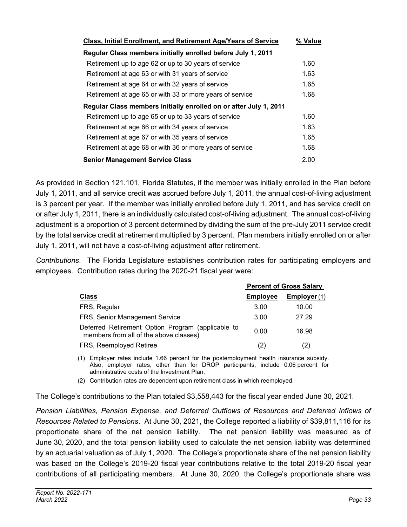| Class, Initial Enrollment, and Retirement Age/Years of Service    | % Value |
|-------------------------------------------------------------------|---------|
| Regular Class members initially enrolled before July 1, 2011      |         |
| Retirement up to age 62 or up to 30 years of service              | 1.60    |
| Retirement at age 63 or with 31 years of service                  | 1.63    |
| Retirement at age 64 or with 32 years of service                  | 1.65    |
| Retirement at age 65 or with 33 or more years of service          | 1.68    |
| Regular Class members initially enrolled on or after July 1, 2011 |         |
| Retirement up to age 65 or up to 33 years of service              | 1.60    |
| Retirement at age 66 or with 34 years of service                  | 1.63    |
| Retirement at age 67 or with 35 years of service                  | 1.65    |
| Retirement at age 68 or with 36 or more years of service          | 1.68    |
| <b>Senior Management Service Class</b>                            | 2.00    |

As provided in Section 121.101, Florida Statutes, if the member was initially enrolled in the Plan before July 1, 2011, and all service credit was accrued before July 1, 2011, the annual cost-of-living adjustment is 3 percent per year. If the member was initially enrolled before July 1, 2011, and has service credit on or after July 1, 2011, there is an individually calculated cost-of-living adjustment. The annual cost-of-living adjustment is a proportion of 3 percent determined by dividing the sum of the pre-July 2011 service credit by the total service credit at retirement multiplied by 3 percent. Plan members initially enrolled on or after July 1, 2011, will not have a cost-of-living adjustment after retirement.

*Contributions*. The Florida Legislature establishes contribution rates for participating employers and employees. Contribution rates during the 2020-21 fiscal year were:

|                                                                                             | <b>Percent of Gross Salary</b> |                |
|---------------------------------------------------------------------------------------------|--------------------------------|----------------|
| <b>Class</b>                                                                                | <b>Employee</b>                | Employer $(1)$ |
| FRS, Regular                                                                                | 3.00                           | 10.00          |
| <b>FRS, Senior Management Service</b>                                                       | 3.00                           | 27.29          |
| Deferred Retirement Option Program (applicable to<br>members from all of the above classes) | 0.00                           | 16.98          |
| FRS, Reemployed Retiree                                                                     | (2)                            | (2)            |

(1) Employer rates include 1.66 percent for the postemployment health insurance subsidy. Also, employer rates, other than for DROP participants, include 0.06 percent for administrative costs of the Investment Plan.

(2) Contribution rates are dependent upon retirement class in which reemployed.

The College's contributions to the Plan totaled \$3,558,443 for the fiscal year ended June 30, 2021.

*Pension Liabilities, Pension Expense, and Deferred Outflows of Resources and Deferred Inflows of Resources Related to Pensions*. At June 30, 2021, the College reported a liability of \$39,811,116 for its proportionate share of the net pension liability. The net pension liability was measured as of June 30, 2020, and the total pension liability used to calculate the net pension liability was determined by an actuarial valuation as of July 1, 2020. The College's proportionate share of the net pension liability was based on the College's 2019-20 fiscal year contributions relative to the total 2019-20 fiscal year contributions of all participating members. At June 30, 2020, the College's proportionate share was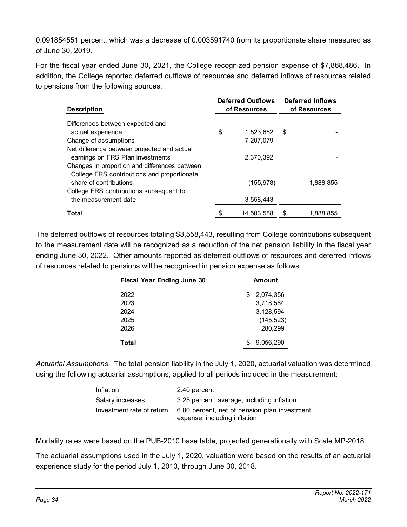0.091854551 percent, which was a decrease of 0.003591740 from its proportionate share measured as of June 30, 2019.

For the fiscal year ended June 30, 2021, the College recognized pension expense of \$7,868,486. In addition, the College reported deferred outflows of resources and deferred inflows of resources related to pensions from the following sources:

| <b>Description</b>                                                                                                     | <b>Deferred Outflows</b><br>of Resources |            | <b>Deferred Inflows</b><br>of Resources |           |
|------------------------------------------------------------------------------------------------------------------------|------------------------------------------|------------|-----------------------------------------|-----------|
| Differences between expected and                                                                                       |                                          |            |                                         |           |
| actual experience                                                                                                      | \$                                       | 1,523,652  | S                                       |           |
| Change of assumptions                                                                                                  |                                          | 7,207,079  |                                         |           |
| Net difference between projected and actual<br>earnings on FRS Plan investments                                        |                                          | 2.370.392  |                                         |           |
| Changes in proportion and differences between<br>College FRS contributions and proportionate<br>share of contributions |                                          | (155, 978) |                                         | 1,888,855 |
| College FRS contributions subsequent to<br>the measurement date                                                        |                                          | 3,558,443  |                                         |           |
| Total                                                                                                                  |                                          | 14,503,588 |                                         | 1,888,855 |

The deferred outflows of resources totaling \$3,558,443, resulting from College contributions subsequent to the measurement date will be recognized as a reduction of the net pension liability in the fiscal year ending June 30, 2022. Other amounts reported as deferred outflows of resources and deferred inflows of resources related to pensions will be recognized in pension expense as follows:

| <b>Fiscal Year Ending June 30</b> | Amount          |
|-----------------------------------|-----------------|
| 2022                              | 2,074,356<br>\$ |
| 2023                              | 3,718,564       |
| 2024                              | 3,128,594       |
| 2025                              | (145, 523)      |
| 2026                              | 280,299         |
| Total                             | 9,056,290       |

*Actuarial Assumptions*. The total pension liability in the July 1, 2020, actuarial valuation was determined using the following actuarial assumptions, applied to all periods included in the measurement:

| Inflation                 | 2.40 percent                                                                 |
|---------------------------|------------------------------------------------------------------------------|
| Salary increases          | 3.25 percent, average, including inflation                                   |
| Investment rate of return | 6.80 percent, net of pension plan investment<br>expense, including inflation |

Mortality rates were based on the PUB-2010 base table, projected generationally with Scale MP-2018.

The actuarial assumptions used in the July 1, 2020, valuation were based on the results of an actuarial experience study for the period July 1, 2013, through June 30, 2018.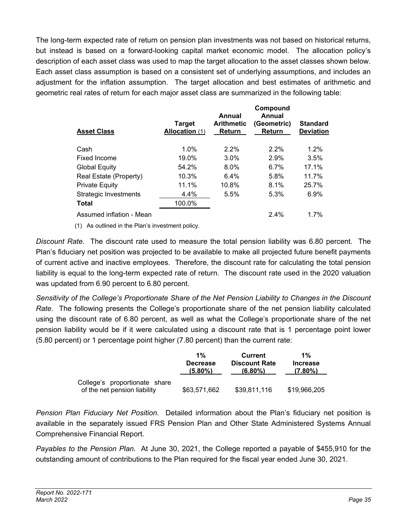The long-term expected rate of return on pension plan investments was not based on historical returns, but instead is based on a forward-looking capital market economic model. The allocation policy's description of each asset class was used to map the target allocation to the asset classes shown below. Each asset class assumption is based on a consistent set of underlying assumptions, and includes an adjustment for the inflation assumption. The target allocation and best estimates of arithmetic and geometric real rates of return for each major asset class are summarized in the following table:

| Asset Class              | <b>Target</b><br>Allocation (1) | Annual<br><b>Arithmetic</b><br><b>Return</b> | Compound<br>Annual<br>(Geometric)<br>Return | <b>Standard</b><br><b>Deviation</b> |
|--------------------------|---------------------------------|----------------------------------------------|---------------------------------------------|-------------------------------------|
| Cash                     | 1.0%                            | 2.2%                                         | 2.2%                                        | 1.2%                                |
| Fixed Income             | 19.0%                           | 3.0%                                         | 2.9%                                        | 3.5%                                |
| <b>Global Equity</b>     | 54.2%                           | 8.0%                                         | 6.7%                                        | 17.1%                               |
| Real Estate (Property)   | 10.3%                           | 6.4%                                         | 5.8%                                        | 11.7%                               |
| <b>Private Equity</b>    | 11.1%                           | 10.8%                                        | 8.1%                                        | 25.7%                               |
| Strategic Investments    | 4.4%                            | 5.5%                                         | 5.3%                                        | 6.9%                                |
| Total                    | 100.0%                          |                                              |                                             |                                     |
| Assumed inflation - Mean |                                 |                                              | 2.4%                                        | 1.7%                                |
|                          |                                 |                                              |                                             |                                     |

(1) As outlined in the Plan's investment policy.

*Discount Rate*. The discount rate used to measure the total pension liability was 6.80 percent. The Plan's fiduciary net position was projected to be available to make all projected future benefit payments of current active and inactive employees. Therefore, the discount rate for calculating the total pension liability is equal to the long-term expected rate of return. The discount rate used in the 2020 valuation was updated from 6.90 percent to 6.80 percent.

*Sensitivity of the College's Proportionate Share of the Net Pension Liability to Changes in the Discount Rate*. The following presents the College's proportionate share of the net pension liability calculated using the discount rate of 6.80 percent, as well as what the College's proportionate share of the net pension liability would be if it were calculated using a discount rate that is 1 percentage point lower (5.80 percent) or 1 percentage point higher (7.80 percent) than the current rate:

|                                                               | 1%              | <b>Current</b>       | 1%              |
|---------------------------------------------------------------|-----------------|----------------------|-----------------|
|                                                               | <b>Decrease</b> | <b>Discount Rate</b> | <b>Increase</b> |
|                                                               | $(5.80\%)$      | $(6.80\%)$           | $(7.80\%)$      |
| College's proportionate share<br>of the net pension liability | \$63,571,662    | \$39,811,116         | \$19,966,205    |

*Pension Plan Fiduciary Net Position*. Detailed information about the Plan's fiduciary net position is available in the separately issued FRS Pension Plan and Other State Administered Systems Annual Comprehensive Financial Report.

*Payables to the Pension Plan*. At June 30, 2021, the College reported a payable of \$455,910 for the outstanding amount of contributions to the Plan required for the fiscal year ended June 30, 2021.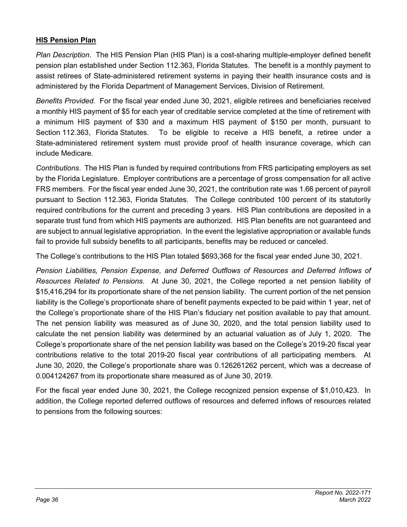# **HIS Pension Plan**

*Plan Description*. The HIS Pension Plan (HIS Plan) is a cost-sharing multiple-employer defined benefit pension plan established under Section 112.363, Florida Statutes. The benefit is a monthly payment to assist retirees of State-administered retirement systems in paying their health insurance costs and is administered by the Florida Department of Management Services, Division of Retirement.

*Benefits Provided*. For the fiscal year ended June 30, 2021, eligible retirees and beneficiaries received a monthly HIS payment of \$5 for each year of creditable service completed at the time of retirement with a minimum HIS payment of \$30 and a maximum HIS payment of \$150 per month, pursuant to Section 112.363, Florida Statutes. To be eligible to receive a HIS benefit, a retiree under a State-administered retirement system must provide proof of health insurance coverage, which can include Medicare.

*Contributions*. The HIS Plan is funded by required contributions from FRS participating employers as set by the Florida Legislature. Employer contributions are a percentage of gross compensation for all active FRS members. For the fiscal year ended June 30, 2021, the contribution rate was 1.66 percent of payroll pursuant to Section 112.363, Florida Statutes. The College contributed 100 percent of its statutorily required contributions for the current and preceding 3 years. HIS Plan contributions are deposited in a separate trust fund from which HIS payments are authorized. HIS Plan benefits are not guaranteed and are subject to annual legislative appropriation. In the event the legislative appropriation or available funds fail to provide full subsidy benefits to all participants, benefits may be reduced or canceled.

The College's contributions to the HIS Plan totaled \$693,368 for the fiscal year ended June 30, 2021.

*Pension Liabilities, Pension Expense, and Deferred Outflows of Resources and Deferred Inflows of Resources Related to Pensions*. At June 30, 2021, the College reported a net pension liability of \$15,416,294 for its proportionate share of the net pension liability. The current portion of the net pension liability is the College's proportionate share of benefit payments expected to be paid within 1 year, net of the College's proportionate share of the HIS Plan's fiduciary net position available to pay that amount. The net pension liability was measured as of June 30, 2020, and the total pension liability used to calculate the net pension liability was determined by an actuarial valuation as of July 1, 2020. The College's proportionate share of the net pension liability was based on the College's 2019-20 fiscal year contributions relative to the total 2019-20 fiscal year contributions of all participating members. At June 30, 2020, the College's proportionate share was 0.126261262 percent, which was a decrease of 0.004124267 from its proportionate share measured as of June 30, 2019.

For the fiscal year ended June 30, 2021, the College recognized pension expense of \$1,010,423. In addition, the College reported deferred outflows of resources and deferred inflows of resources related to pensions from the following sources: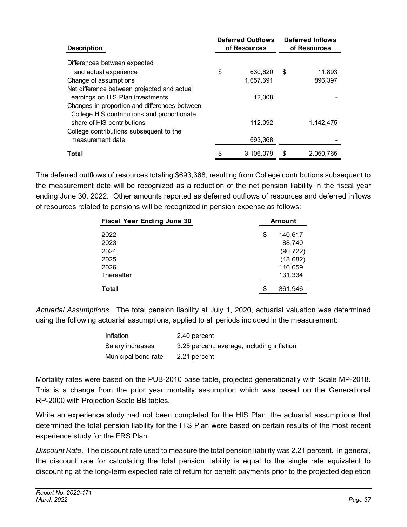| <b>Description</b>                                                                           | <b>Deferred Outflows</b><br>of Resources | <b>Deferred Inflows</b><br>of Resources |           |  |  |
|----------------------------------------------------------------------------------------------|------------------------------------------|-----------------------------------------|-----------|--|--|
| Differences between expected                                                                 |                                          |                                         |           |  |  |
| and actual experience                                                                        | \$<br>630,620                            | S                                       | 11,893    |  |  |
| Change of assumptions                                                                        | 1,657,691                                |                                         | 896,397   |  |  |
| Net difference between projected and actual<br>earnings on HIS Plan investments              | 12.308                                   |                                         |           |  |  |
| Changes in proportion and differences between<br>College HIS contributions and proportionate |                                          |                                         |           |  |  |
| share of HIS contributions                                                                   | 112.092                                  |                                         | 1.142.475 |  |  |
| College contributions subsequent to the<br>measurement date                                  | 693,368                                  |                                         |           |  |  |
| Total                                                                                        | \$<br>3,106,079                          |                                         | 2,050,765 |  |  |

The deferred outflows of resources totaling \$693,368, resulting from College contributions subsequent to the measurement date will be recognized as a reduction of the net pension liability in the fiscal year ending June 30, 2022. Other amounts reported as deferred outflows of resources and deferred inflows of resources related to pensions will be recognized in pension expense as follows:

| <b>Fiscal Year Ending June 30</b> | <b>Amount</b> |           |  |
|-----------------------------------|---------------|-----------|--|
| 2022                              | \$            | 140,617   |  |
| 2023                              |               | 88,740    |  |
| 2024                              |               | (96, 722) |  |
| 2025                              |               | (18, 682) |  |
| 2026                              |               | 116,659   |  |
| Thereafter                        |               | 131,334   |  |
| Total                             | \$            | 361,946   |  |

*Actuarial Assumptions.* The total pension liability at July 1, 2020, actuarial valuation was determined using the following actuarial assumptions, applied to all periods included in the measurement:

| Inflation           | 2.40 percent                               |
|---------------------|--------------------------------------------|
| Salary increases    | 3.25 percent, average, including inflation |
| Municipal bond rate | 2.21 percent                               |

Mortality rates were based on the PUB-2010 base table, projected generationally with Scale MP-2018. This is a change from the prior year mortality assumption which was based on the Generational RP-2000 with Projection Scale BB tables.

While an experience study had not been completed for the HIS Plan, the actuarial assumptions that determined the total pension liability for the HIS Plan were based on certain results of the most recent experience study for the FRS Plan.

*Discount Rate*. The discount rate used to measure the total pension liability was 2.21 percent. In general, the discount rate for calculating the total pension liability is equal to the single rate equivalent to discounting at the long-term expected rate of return for benefit payments prior to the projected depletion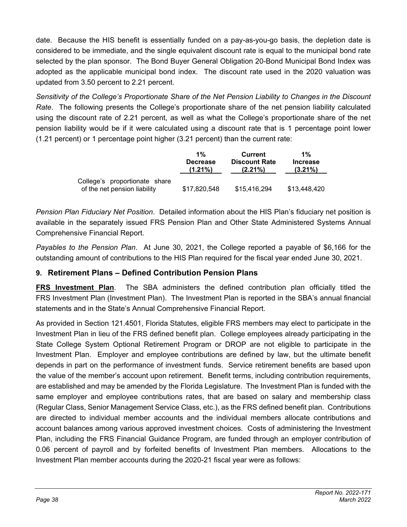date. Because the HIS benefit is essentially funded on a pay-as-you-go basis, the depletion date is considered to be immediate, and the single equivalent discount rate is equal to the municipal bond rate selected by the plan sponsor. The Bond Buyer General Obligation 20-Bond Municipal Bond Index was adopted as the applicable municipal bond index. The discount rate used in the 2020 valuation was updated from 3.50 percent to 2.21 percent.

*Sensitivity of the College's Proportionate Share of the Net Pension Liability to Changes in the Discount Rate*. The following presents the College's proportionate share of the net pension liability calculated using the discount rate of 2.21 percent, as well as what the College's proportionate share of the net pension liability would be if it were calculated using a discount rate that is 1 percentage point lower (1.21 percent) or 1 percentage point higher (3.21 percent) than the current rate:

|                                                               | 1%              | Current              | $1\%$           |
|---------------------------------------------------------------|-----------------|----------------------|-----------------|
|                                                               | <b>Decrease</b> | <b>Discount Rate</b> | <b>Increase</b> |
|                                                               | $(1.21\%)$      | $(2.21\%)$           | $(3.21\%)$      |
| College's proportionate share<br>of the net pension liability | \$17,820,548    | \$15,416,294         | \$13,448,420    |

*Pension Plan Fiduciary Net Position*. Detailed information about the HIS Plan's fiduciary net position is available in the separately issued FRS Pension Plan and Other State Administered Systems Annual Comprehensive Financial Report.

*Payables to the Pension Plan*. At June 30, 2021, the College reported a payable of \$6,166 for the outstanding amount of contributions to the HIS Plan required for the fiscal year ended June 30, 2021.

# **9. Retirement Plans – Defined Contribution Pension Plans**

**FRS Investment Plan**. The SBA administers the defined contribution plan officially titled the FRS Investment Plan (Investment Plan). The Investment Plan is reported in the SBA's annual financial statements and in the State's Annual Comprehensive Financial Report.

As provided in Section 121.4501, Florida Statutes, eligible FRS members may elect to participate in the Investment Plan in lieu of the FRS defined benefit plan. College employees already participating in the State College System Optional Retirement Program or DROP are not eligible to participate in the Investment Plan. Employer and employee contributions are defined by law, but the ultimate benefit depends in part on the performance of investment funds. Service retirement benefits are based upon the value of the member's account upon retirement. Benefit terms, including contribution requirements, are established and may be amended by the Florida Legislature. The Investment Plan is funded with the same employer and employee contributions rates, that are based on salary and membership class (Regular Class, Senior Management Service Class, etc.), as the FRS defined benefit plan. Contributions are directed to individual member accounts and the individual members allocate contributions and account balances among various approved investment choices. Costs of administering the Investment Plan, including the FRS Financial Guidance Program, are funded through an employer contribution of 0.06 percent of payroll and by forfeited benefits of Investment Plan members. Allocations to the Investment Plan member accounts during the 2020-21 fiscal year were as follows: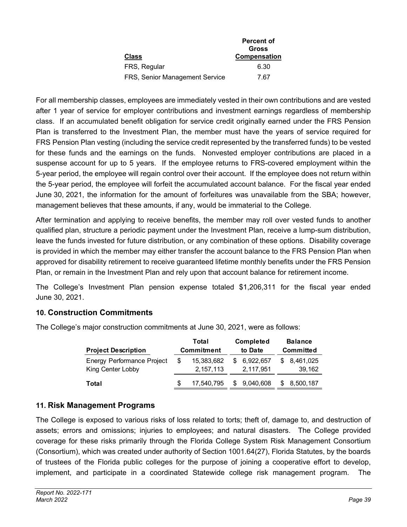|                                | Percent of   |  |  |  |  |  |
|--------------------------------|--------------|--|--|--|--|--|
|                                | Gross        |  |  |  |  |  |
| <b>Class</b>                   | Compensation |  |  |  |  |  |
| FRS, Regular                   | 6.30         |  |  |  |  |  |
| FRS, Senior Management Service | 7.67         |  |  |  |  |  |

For all membership classes, employees are immediately vested in their own contributions and are vested after 1 year of service for employer contributions and investment earnings regardless of membership class. If an accumulated benefit obligation for service credit originally earned under the FRS Pension Plan is transferred to the Investment Plan, the member must have the years of service required for FRS Pension Plan vesting (including the service credit represented by the transferred funds) to be vested for these funds and the earnings on the funds. Nonvested employer contributions are placed in a suspense account for up to 5 years. If the employee returns to FRS-covered employment within the 5-year period, the employee will regain control over their account. If the employee does not return within the 5-year period, the employee will forfeit the accumulated account balance. For the fiscal year ended June 30, 2021, the information for the amount of forfeitures was unavailable from the SBA; however, management believes that these amounts, if any, would be immaterial to the College.

After termination and applying to receive benefits, the member may roll over vested funds to another qualified plan, structure a periodic payment under the Investment Plan, receive a lump-sum distribution, leave the funds invested for future distribution, or any combination of these options. Disability coverage is provided in which the member may either transfer the account balance to the FRS Pension Plan when approved for disability retirement to receive guaranteed lifetime monthly benefits under the FRS Pension Plan, or remain in the Investment Plan and rely upon that account balance for retirement income.

The College's Investment Plan pension expense totaled \$1,206,311 for the fiscal year ended June 30, 2021.

# **10. Construction Commitments**

The College's major construction commitments at June 30, 2021, were as follows:

| <b>Project Description</b>                             | Total<br><b>Commitment</b> |                           |   |                        |   |                     |  | <b>Balance</b><br>Committed |
|--------------------------------------------------------|----------------------------|---------------------------|---|------------------------|---|---------------------|--|-----------------------------|
| <b>Energy Performance Project</b><br>King Center Lobby | \$                         | 15,383,682<br>2, 157, 113 |   | 6,922,657<br>2,117,951 | S | 8,461,025<br>39,162 |  |                             |
| Total                                                  |                            | 17,540,795                | S | 9,040,608              | S | 8,500,187           |  |                             |

# **11. Risk Management Programs**

The College is exposed to various risks of loss related to torts; theft of, damage to, and destruction of assets; errors and omissions; injuries to employees; and natural disasters. The College provided coverage for these risks primarily through the Florida College System Risk Management Consortium (Consortium), which was created under authority of Section 1001.64(27), Florida Statutes, by the boards of trustees of the Florida public colleges for the purpose of joining a cooperative effort to develop, implement, and participate in a coordinated Statewide college risk management program. The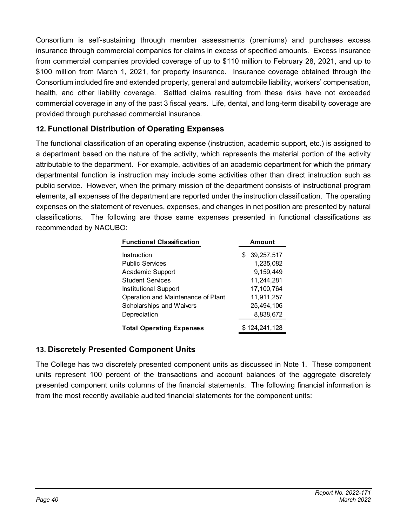Consortium is self-sustaining through member assessments (premiums) and purchases excess insurance through commercial companies for claims in excess of specified amounts. Excess insurance from commercial companies provided coverage of up to \$110 million to February 28, 2021, and up to \$100 million from March 1, 2021, for property insurance. Insurance coverage obtained through the Consortium included fire and extended property, general and automobile liability, workers' compensation, health, and other liability coverage. Settled claims resulting from these risks have not exceeded commercial coverage in any of the past 3 fiscal years. Life, dental, and long-term disability coverage are provided through purchased commercial insurance.

# **12. Functional Distribution of Operating Expenses**

The functional classification of an operating expense (instruction, academic support, etc.) is assigned to a department based on the nature of the activity, which represents the material portion of the activity attributable to the department. For example, activities of an academic department for which the primary departmental function is instruction may include some activities other than direct instruction such as public service. However, when the primary mission of the department consists of instructional program elements, all expenses of the department are reported under the instruction classification. The operating expenses on the statement of revenues, expenses, and changes in net position are presented by natural classifications. The following are those same expenses presented in functional classifications as recommended by NACUBO:

| <b>Functional Classification</b>   | Amount         |  |  |  |
|------------------------------------|----------------|--|--|--|
| Instruction                        | \$39,257,517   |  |  |  |
| <b>Public Services</b>             | 1,235,082      |  |  |  |
| Academic Support                   | 9,159,449      |  |  |  |
| <b>Student Services</b>            | 11,244,281     |  |  |  |
| <b>Institutional Support</b>       | 17,100,764     |  |  |  |
| Operation and Maintenance of Plant | 11,911,257     |  |  |  |
| Scholarships and Waivers           | 25,494,106     |  |  |  |
| Depreciation                       | 8,838,672      |  |  |  |
| <b>Total Operating Expenses</b>    | \$ 124,241,128 |  |  |  |

# **13. Discretely Presented Component Units**

The College has two discretely presented component units as discussed in Note 1. These component units represent 100 percent of the transactions and account balances of the aggregate discretely presented component units columns of the financial statements. The following financial information is from the most recently available audited financial statements for the component units: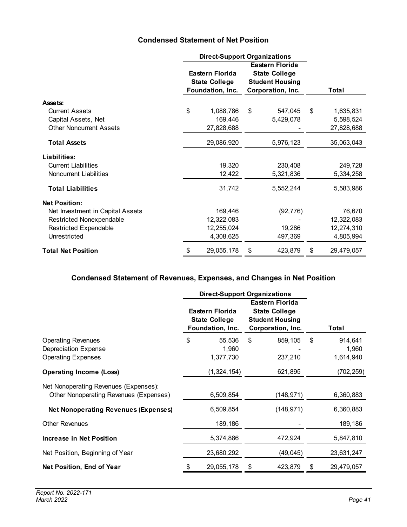# **Condensed Statement of Net Position**

| <b>Direct-Support Organizations</b> |    |                                                             |    |                                                                                        |       |            |  |
|-------------------------------------|----|-------------------------------------------------------------|----|----------------------------------------------------------------------------------------|-------|------------|--|
|                                     |    | Eastern Florida<br><b>State College</b><br>Foundation, Inc. |    | Eastern Florida<br><b>State College</b><br><b>Student Housing</b><br>Corporation, Inc. | Total |            |  |
| Assets:                             |    |                                                             |    |                                                                                        |       |            |  |
| <b>Current Assets</b>               | \$ | 1,088,786                                                   | \$ | 547,045                                                                                | \$    | 1,635,831  |  |
| Capital Assets, Net                 |    | 169,446                                                     |    | 5,429,078                                                                              |       | 5,598,524  |  |
| <b>Other Noncurrent Assets</b>      |    | 27,828,688                                                  |    |                                                                                        |       | 27,828,688 |  |
| <b>Total Assets</b>                 |    | 29,086,920                                                  |    | 5,976,123                                                                              |       | 35,063,043 |  |
| Liabilities:                        |    |                                                             |    |                                                                                        |       |            |  |
| <b>Current Liabilities</b>          |    | 19,320                                                      |    | 230,408                                                                                |       | 249,728    |  |
| <b>Noncurrent Liabilities</b>       |    | 12,422                                                      |    | 5,321,836                                                                              |       | 5,334,258  |  |
| <b>Total Liabilities</b>            |    | 31,742                                                      |    | 5,552,244                                                                              |       | 5,583,986  |  |
| <b>Net Position:</b>                |    |                                                             |    |                                                                                        |       |            |  |
| Net Investment in Capital Assets    |    | 169,446                                                     |    | (92, 776)                                                                              |       | 76,670     |  |
| <b>Restricted Nonexpendable</b>     |    | 12,322,083                                                  |    |                                                                                        |       | 12,322,083 |  |
| <b>Restricted Expendable</b>        |    | 12,255,024                                                  |    | 19,286                                                                                 |       | 12,274,310 |  |
| Unrestricted                        |    | 4,308,625                                                   |    | 497,369                                                                                |       | 4,805,994  |  |
| <b>Total Net Position</b>           | \$ | 29,055,178                                                  | \$ | 423,879                                                                                | \$    | 29,479,057 |  |

# **Condensed Statement of Revenues, Expenses, and Changes in Net Position**

| <b>Direct-Support Organizations</b>                                                   |                                                             |                              |    |                                                                                        |    |                               |
|---------------------------------------------------------------------------------------|-------------------------------------------------------------|------------------------------|----|----------------------------------------------------------------------------------------|----|-------------------------------|
|                                                                                       | Eastern Florida<br><b>State College</b><br>Foundation, Inc. |                              |    | Eastern Florida<br><b>State College</b><br><b>Student Housing</b><br>Corporation, Inc. |    | Total                         |
| <b>Operating Revenues</b><br><b>Depreciation Expense</b><br><b>Operating Expenses</b> | \$                                                          | 55,536<br>1,960<br>1,377,730 | \$ | 859,105<br>237,210                                                                     | \$ | 914,641<br>1,960<br>1,614,940 |
| <b>Operating Income (Loss)</b>                                                        |                                                             | (1, 324, 154)                |    | 621,895                                                                                |    | (702, 259)                    |
| Net Nonoperating Revenues (Expenses):<br>Other Nonoperating Revenues (Expenses)       |                                                             | 6,509,854                    |    | (148, 971)                                                                             |    | 6,360,883                     |
| <b>Net Nonoperating Revenues (Expenses)</b>                                           |                                                             | 6,509,854                    |    | (148, 971)                                                                             |    | 6,360,883                     |
| <b>Other Revenues</b>                                                                 |                                                             | 189,186                      |    |                                                                                        |    | 189,186                       |
| <b>Increase in Net Position</b>                                                       |                                                             | 5,374,886                    |    | 472,924                                                                                |    | 5,847,810                     |
| Net Position, Beginning of Year                                                       |                                                             | 23,680,292                   |    | (49, 045)                                                                              |    | 23,631,247                    |
| <b>Net Position, End of Year</b>                                                      | S                                                           | 29,055,178                   | \$ | 423,879                                                                                | \$ | 29,479,057                    |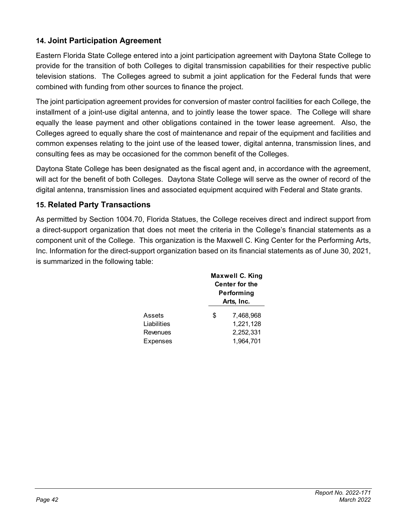# **14. Joint Participation Agreement**

Eastern Florida State College entered into a joint participation agreement with Daytona State College to provide for the transition of both Colleges to digital transmission capabilities for their respective public television stations. The Colleges agreed to submit a joint application for the Federal funds that were combined with funding from other sources to finance the project.

The joint participation agreement provides for conversion of master control facilities for each College, the installment of a joint-use digital antenna, and to jointly lease the tower space. The College will share equally the lease payment and other obligations contained in the tower lease agreement. Also, the Colleges agreed to equally share the cost of maintenance and repair of the equipment and facilities and common expenses relating to the joint use of the leased tower, digital antenna, transmission lines, and consulting fees as may be occasioned for the common benefit of the Colleges.

Daytona State College has been designated as the fiscal agent and, in accordance with the agreement, will act for the benefit of both Colleges. Daytona State College will serve as the owner of record of the digital antenna, transmission lines and associated equipment acquired with Federal and State grants.

# **15. Related Party Transactions**

As permitted by Section 1004.70, Florida Statues, the College receives direct and indirect support from a direct-support organization that does not meet the criteria in the College's financial statements as a component unit of the College. This organization is the Maxwell C. King Center for the Performing Arts, Inc. Information for the direct-support organization based on its financial statements as of June 30, 2021, is summarized in the following table:

|                                                      | <b>Maxwell C. King</b><br><b>Center for the</b><br>Performing<br>Arts, Inc. |                                                  |  |  |  |  |  |
|------------------------------------------------------|-----------------------------------------------------------------------------|--------------------------------------------------|--|--|--|--|--|
| Assets<br>Liabilities<br>Revenues<br><b>Expenses</b> | \$                                                                          | 7,468,968<br>1,221,128<br>2,252,331<br>1,964,701 |  |  |  |  |  |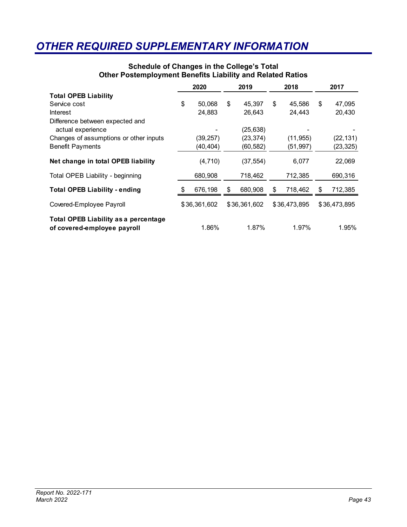# <span id="page-46-0"></span>*OTHER REQUIRED SUPPLEMENTARY INFORMATION*

|                                                                            | 2020          | 2019 |              | 2018 |              |    | 2017         |
|----------------------------------------------------------------------------|---------------|------|--------------|------|--------------|----|--------------|
| <b>Total OPEB Liability</b>                                                |               |      |              |      |              |    |              |
| Service cost                                                               | \$<br>50,068  | \$   | 45.397       | \$   | 45,586       | \$ | 47,095       |
| Interest                                                                   | 24,883        |      | 26,643       |      | 24,443       |    | 20,430       |
| Difference between expected and                                            |               |      |              |      |              |    |              |
| actual experience                                                          |               |      | (25, 638)    |      |              |    |              |
| Changes of assumptions or other inputs                                     | (39, 257)     |      | (23, 374)    |      | (11, 955)    |    | (22, 131)    |
| <b>Benefit Payments</b>                                                    | (40, 404)     |      | (60, 582)    |      | (51, 997)    |    | (23, 325)    |
| Net change in total OPEB liability                                         | (4,710)       |      | (37, 554)    |      | 6,077        |    | 22,069       |
| Total OPEB Liability - beginning                                           | 680,908       |      | 718,462      |      | 712,385      |    | 690,316      |
| <b>Total OPEB Liability - ending</b>                                       | \$<br>676,198 | \$.  | 680,908      | \$   | 718,462      | S  | 712,385      |
| Covered-Employee Payroll                                                   | \$36,361,602  |      | \$36,361,602 |      | \$36,473,895 |    | \$36,473,895 |
| <b>Total OPEB Liability as a percentage</b><br>of covered-employee payroll | 1.86%         |      | 1.87%        |      | 1.97%        |    | 1.95%        |

### **Schedule of Changes in the College's Total Other Postemployment Benefits Liability and Related Ratios**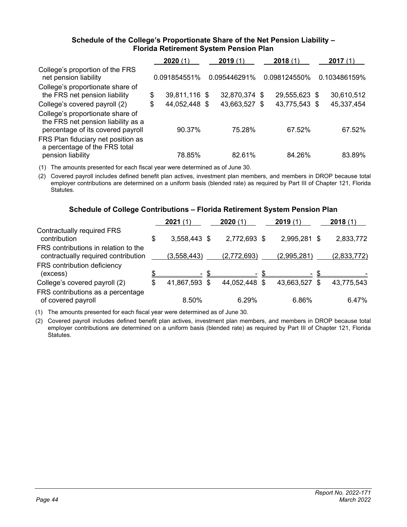### **Schedule of the College's Proportionate Share of the Net Pension Liability – Florida Retirement System Pension Plan**

<span id="page-47-0"></span>

|                                                                                                             | 2020(1)             | 2019(1)       | 2018(1)       | 2017(1)      |
|-------------------------------------------------------------------------------------------------------------|---------------------|---------------|---------------|--------------|
| College's proportion of the FRS<br>net pension liability<br>College's proportionate share of                | 0.091854551%        | 0.095446291%  | 0.098124550%  | 0.103486159% |
| the FRS net pension liability                                                                               | \$<br>39,811,116 \$ | 32,870,374 \$ | 29,555,623 \$ | 30,610,512   |
| College's covered payroll (2)                                                                               | \$<br>44,052,448 \$ | 43,663,527 \$ | 43,775,543 \$ | 45,337,454   |
| College's proportionate share of<br>the FRS net pension liability as a<br>percentage of its covered payroll | 90.37%              | 75.28%        | 67.52%        | 67.52%       |
| FRS Plan fiduciary net position as<br>a percentage of the FRS total<br>pension liability                    | 78.85%              | 82.61%        | 84.26%        | 83.89%       |

(1) The amounts presented for each fiscal year were determined as of June 30.

(2) Covered payroll includes defined benefit plan actives, investment plan members, and members in DROP because total employer contributions are determined on a uniform basis (blended rate) as required by Part III of Chapter 121, Florida Statutes.

### **Schedule of College Contributions – Florida Retirement System Pension Plan**

|                                                                             | 2021(1)             | 2020(1)                  | 2019(1)     |     | 2018(1)     |
|-----------------------------------------------------------------------------|---------------------|--------------------------|-------------|-----|-------------|
| <b>Contractually required FRS</b><br>contribution                           | \$<br>3,558,443 \$  | 2,772,693 \$             | 2,995,281   | S   | 2,833,772   |
| FRS contributions in relation to the<br>contractually required contribution | (3,558,443)         | (2,772,693)              | (2,995,281) |     | (2,833,772) |
| FRS contribution deficiency<br>(excess)                                     |                     | $\overline{\phantom{0}}$ |             |     |             |
| College's covered payroll (2)                                               | \$<br>41,867,593 \$ | 44,052,448 \$            | 43,663,527  | \$. | 43,775,543  |
| FRS contributions as a percentage<br>of covered payroll                     | 8.50%               | 6.29%                    | 6.86%       |     | 6.47%       |

(1) The amounts presented for each fiscal year were determined as of June 30.

(2) Covered payroll includes defined benefit plan actives, investment plan members, and members in DROP because total employer contributions are determined on a uniform basis (blended rate) as required by Part III of Chapter 121, Florida Statutes.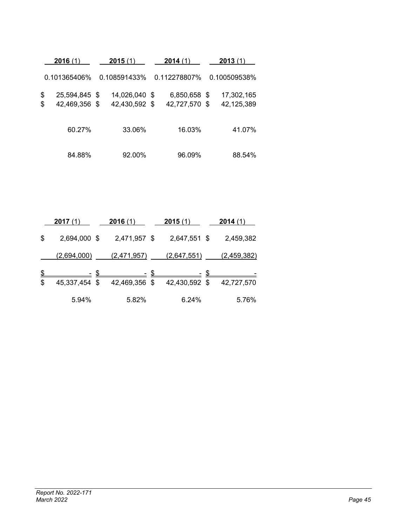| 2016(1)  |                                | 2015(1)                     | 2014(1)                               | 2013 (1                  |  |  |  |  |
|----------|--------------------------------|-----------------------------|---------------------------------------|--------------------------|--|--|--|--|
|          | 0.101365406%                   | 0.108591433%                | 0.112278807%                          | 0.100509538%             |  |  |  |  |
| \$<br>\$ | 25,594,845 \$<br>42,469,356 \$ | 14,026,040<br>42,430,592 \$ | 6,850,658 \$<br>- \$<br>42,727,570 \$ | 17,302,165<br>42,125,389 |  |  |  |  |
|          | 60.27%                         | 33.06%                      | 16.03%                                | 41.07%                   |  |  |  |  |
|          | 84.88%                         | 92.00%                      | 96.09%                                | 88.54%                   |  |  |  |  |

| 2017(1)             | 2016(1)       | 2015(1)       | 2014(1)     |
|---------------------|---------------|---------------|-------------|
| \$<br>2,694,000 \$  | 2,471,957 \$  | 2,647,551 \$  | 2,459,382   |
| (2,694,000)         | (2,471,957)   | (2,647,551)   | (2,459,382) |
|                     |               |               |             |
| \$<br>45,337,454 \$ | 42,469,356 \$ | 42,430,592 \$ | 42,727,570  |
| 5.94%               | 5.82%         | 6.24%         | 5.76%       |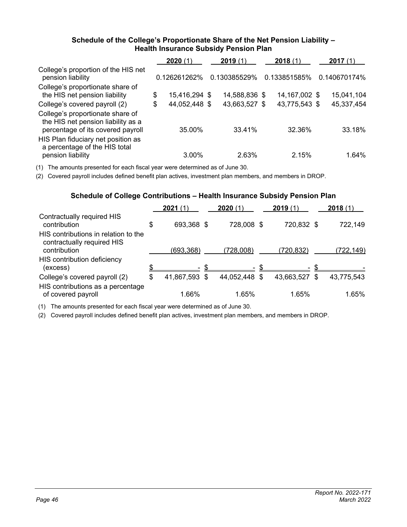### **Schedule of the College's Proportionate Share of the Net Pension Liability – Health Insurance Subsidy Pension Plan**

<span id="page-49-0"></span>

|                                                                                                             | 2020(1)             | 2019(1)       | 2018(1)       | 2017(1)      |
|-------------------------------------------------------------------------------------------------------------|---------------------|---------------|---------------|--------------|
| College's proportion of the HIS net<br>pension liability<br>College's proportionate share of                | 0.126261262%        | 0.130385529%  | 0.133851585%  | 0.140670174% |
| the HIS net pension liability                                                                               | \$<br>15,416,294 \$ | 14,588,836 \$ | 14,167,002 \$ | 15,041,104   |
| College's covered payroll (2)                                                                               | \$<br>44,052,448 \$ | 43,663,527 \$ | 43,775,543 \$ | 45,337,454   |
| College's proportionate share of<br>the HIS net pension liability as a<br>percentage of its covered payroll | 35.00%              | 33.41%        | 32.36%        | 33.18%       |
| HIS Plan fiduciary net position as<br>a percentage of the HIS total<br>pension liability                    | $3.00\%$            | 2.63%         | 2.15%         | 1.64%        |

(1) The amounts presented for each fiscal year were determined as of June 30.

(2) Covered payroll includes defined benefit plan actives, investment plan members, and members in DROP.

### **Schedule of College Contributions – Health Insurance Subsidy Pension Plan**

|                                                                    | 2021(1)          | 2020(1)             | 2019(1)    | 2018(1)          |
|--------------------------------------------------------------------|------------------|---------------------|------------|------------------|
| Contractually required HIS<br>contribution                         | \$<br>693,368 \$ | 728,008 \$          | 720,832 \$ | 722,149          |
| HIS contributions in relation to the<br>contractually required HIS |                  |                     |            |                  |
| contribution                                                       | (693, 368)       | (728,008)           | (720, 832) | (722,149)        |
| HIS contribution deficiency                                        |                  |                     |            |                  |
| (excess)                                                           |                  |                     |            |                  |
| College's covered payroll (2)                                      | \$<br>41,867,593 | \$<br>44,052,448 \$ | 43,663,527 | \$<br>43,775,543 |
| HIS contributions as a percentage<br>of covered payroll            | 1.66%            | 1.65%               | 1.65%      | 1.65%            |

(1) The amounts presented for each fiscal year were determined as of June 30.

(2) Covered payroll includes defined benefit plan actives, investment plan members, and members in DROP.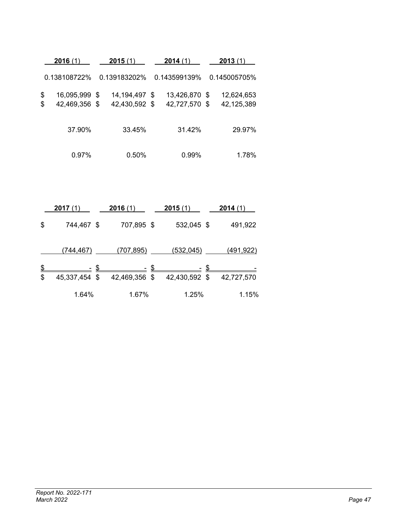| 2016(1)  |                          |              | 2015(1)                     |      | 2014(1)                        | 2013 (1 |                          |  |  |  |
|----------|--------------------------|--------------|-----------------------------|------|--------------------------------|---------|--------------------------|--|--|--|
|          | 0.138108722%             |              | 0.139183202%                |      | 0.143599139%                   |         | 0.145005705%             |  |  |  |
| \$<br>\$ | 16,095,999<br>42,469,356 | - \$<br>- \$ | 14,194,497<br>42,430,592 \$ | - \$ | 13,426,870 \$<br>42,727,570 \$ |         | 12,624,653<br>42,125,389 |  |  |  |
|          | 37.90%                   |              | 33.45%                      |      | 31.42%                         |         | 29.97%                   |  |  |  |
|          | 0.97%                    |              | 0.50%                       |      | $0.99\%$                       |         | 1.78%                    |  |  |  |

| 2017(1)             | 2016(1)       |      | 2015(1)       | 2014(1)    |
|---------------------|---------------|------|---------------|------------|
| \$<br>744,467 \$    | 707,895 \$    |      | 532,045 \$    | 491,922    |
| (744, 467)          | (707, 895)    |      | (532, 045)    | (491, 922) |
|                     |               | - \$ |               |            |
| \$<br>45,337,454 \$ | 42,469,356 \$ |      | 42,430,592 \$ | 42,727,570 |
| 1.64%               | 1.67%         |      | 1.25%         | 1.15%      |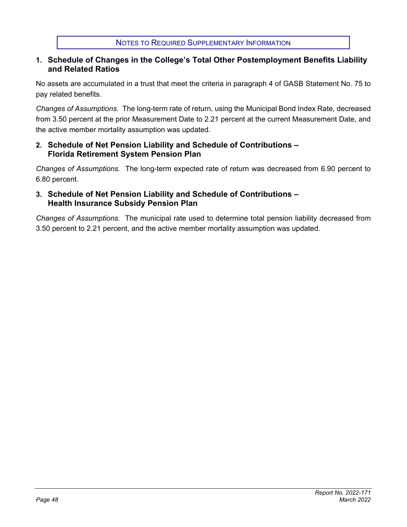# <span id="page-51-0"></span>**1. Schedule of Changes in the College's Total Other Postemployment Benefits Liability and Related Ratios**

No assets are accumulated in a trust that meet the criteria in paragraph 4 of GASB Statement No. 75 to pay related benefits.

*Changes of Assumptions*. The long-term rate of return, using the Municipal Bond Index Rate, decreased from 3.50 percent at the prior Measurement Date to 2.21 percent at the current Measurement Date, and the active member mortality assumption was updated.

# **2. Schedule of Net Pension Liability and Schedule of Contributions – Florida Retirement System Pension Plan**

*Changes of Assumptions.* The long-term expected rate of return was decreased from 6.90 percent to 6.80 percent.

# **3. Schedule of Net Pension Liability and Schedule of Contributions – Health Insurance Subsidy Pension Plan**

*Changes of Assumptions.* The municipal rate used to determine total pension liability decreased from 3.50 percent to 2.21 percent, and the active member mortality assumption was updated.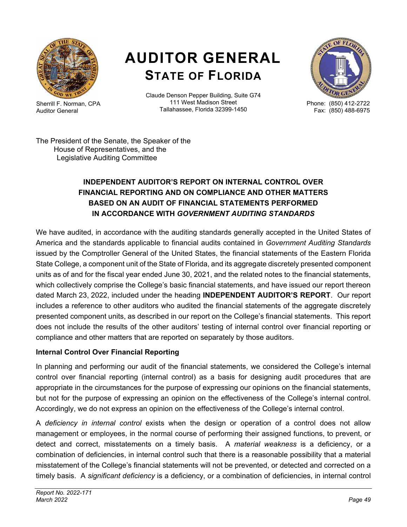<span id="page-52-0"></span>

Sherrill F. Norman, CPA Auditor General

# **AUDITOR GENERAL STATE OF FLORIDA**

Claude Denson Pepper Building, Suite G74 111 West Madison Street Tallahassee, Florida 32399-1450



Phone: (850) 412-2722 Fax: (850) 488-6975

The President of the Senate, the Speaker of the House of Representatives, and the Legislative Auditing Committee

# **INDEPENDENT AUDITOR'S REPORT ON INTERNAL CONTROL OVER FINANCIAL REPORTING AND ON COMPLIANCE AND OTHER MATTERS BASED ON AN AUDIT OF FINANCIAL STATEMENTS PERFORMED IN ACCORDANCE WITH** *GOVERNMENT AUDITING STANDARDS*

We have audited, in accordance with the auditing standards generally accepted in the United States of America and the standards applicable to financial audits contained in *Government Auditing Standards* issued by the Comptroller General of the United States, the financial statements of the Eastern Florida State College, a component unit of the State of Florida, and its aggregate discretely presented component units as of and for the fiscal year ended June 30, 2021, and the related notes to the financial statements, which collectively comprise the College's basic financial statements, and have issued our report thereon dated March 23, 2022, included under the heading **INDEPENDENT AUDITOR'S REPORT**. Our report includes a reference to other auditors who audited the financial statements of the aggregate discretely presented component units, as described in our report on the College's financial statements. This report does not include the results of the other auditors' testing of internal control over financial reporting or compliance and other matters that are reported on separately by those auditors.

# **Internal Control Over Financial Reporting**

In planning and performing our audit of the financial statements, we considered the College's internal control over financial reporting (internal control) as a basis for designing audit procedures that are appropriate in the circumstances for the purpose of expressing our opinions on the financial statements, but not for the purpose of expressing an opinion on the effectiveness of the College's internal control. Accordingly, we do not express an opinion on the effectiveness of the College's internal control.

A *deficiency in internal control* exists when the design or operation of a control does not allow management or employees, in the normal course of performing their assigned functions, to prevent, or detect and correct, misstatements on a timely basis. A *material weakness* is a deficiency, or a combination of deficiencies, in internal control such that there is a reasonable possibility that a material misstatement of the College's financial statements will not be prevented, or detected and corrected on a timely basis. A *significant deficiency* is a deficiency, or a combination of deficiencies, in internal control